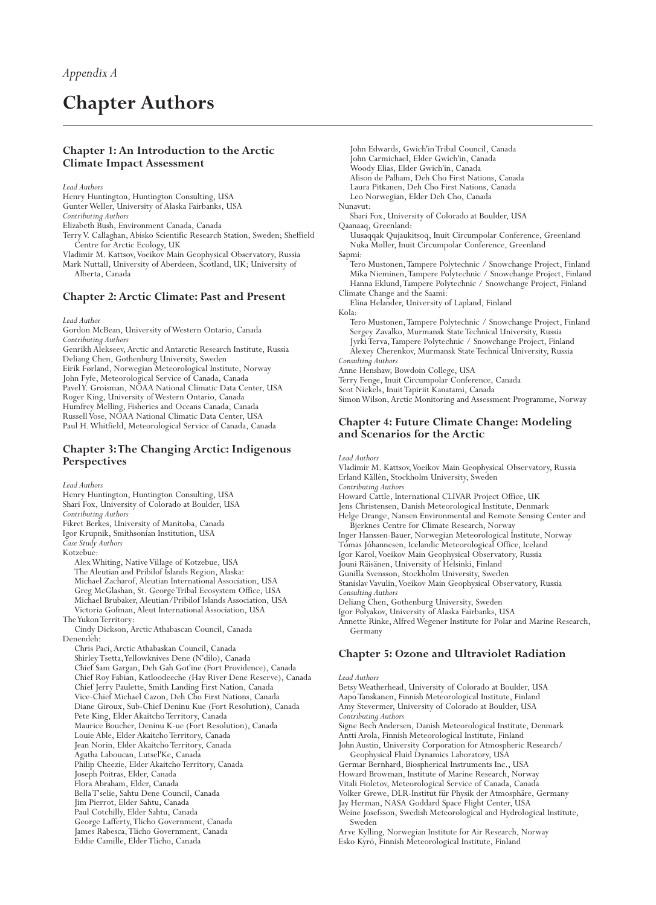# **Chapter Authors**

## **Chapter 1: An Introduction to the Arctic Climate Impact Assessment**

*Lead Authors*

Henry Huntington, Huntington Consulting, USA

Gunter Weller, University of Alaska Fairbanks, USA

*Contributing Authors*

Elizabeth Bush, Environment Canada, Canada

Terry V. Callaghan, Abisko Scientific Research Station, Sweden; Sheffield Centre for Arctic Ecology, UK

Vladimir M. Kattsov,Voeikov Main Geophysical Observatory, Russia Mark Nuttall, University of Aberdeen, Scotland, UK; University of Alberta, Canada

## **Chapter 2: Arctic Climate: Past and Present**

#### *Lead Author*

Gordon McBean, University of Western Ontario, Canada *Contributing Authors*

Genrikh Alekseev, Arctic and Antarctic Research Institute, Russia Deliang Chen, Gothenburg University, Sweden

Eirik Førland, Norwegian Meteorological Institute, Norway

John Fyfe, Meteorological Service of Canada, Canada

Pavel Y. Groisman, NOAA National Climatic Data Center, USA

Roger King, University of Western Ontario, Canada

Humfrey Melling, Fisheries and Oceans Canada, Canada

Russell Vose, NOAA National Climatic Data Center, USA

Paul H.Whitfield, Meteorological Service of Canada, Canada

## **Chapter 3:The Changing Arctic: Indigenous Perspectives**

*Lead Authors*

Henry Huntington, Huntington Consulting, USA Shari Fox, University of Colorado at Boulder, USA

*Contributing Authors*

Fikret Berkes, University of Manitoba, Canada

Igor Krupnik, Smithsonian Institution, USA

*Case Study Authors* Kotzebue:

Alex Whiting, Native Village of Kotzebue, USA The Aleutian and Pribilof Islands Region, Alaska: Michael Zacharof, Aleutian International Association, USA Greg McGlashan, St. George Tribal Ecosystem Office, USA Michael Brubaker, Aleutian/Pribilof Islands Association, USA Victoria Gofman, Aleut International Association, USA

The Yukon Territory:

Cindy Dickson, Arctic Athabascan Council, Canada Denendeh:

Chris Paci, Arctic Athabaskan Council, Canada Shirley Tsetta,Yellowknives Dene (N'dilo), Canada Chief Sam Gargan, Deh Gah Got'ine (Fort Providence), Canada Chief Roy Fabian, Katloodeeche (Hay River Dene Reserve), Canada Chief Jerry Paulette, Smith Landing First Nation, Canada Vice-Chief Michael Cazon, Deh Cho First Nations, Canada Diane Giroux, Sub-Chief Deninu Kue (Fort Resolution), Canada Pete King, Elder Akaitcho Territory, Canada Maurice Boucher, Deninu K-ue (Fort Resolution), Canada Louie Able, Elder Akaitcho Territory, Canada Jean Norin, Elder Akaitcho Territory, Canada Agatha Laboucan, Lutsel'Ke, Canada Philip Cheezie, Elder Akaitcho Territory, Canada Joseph Poitras, Elder, Canada Flora Abraham, Elder, Canada Bella T'selie, Sahtu Dene Council, Canada Jim Pierrot, Elder Sahtu, Canada Paul Cotchilly, Elder Sahtu, Canada George Lafferty,Tlicho Government, Canada James Rabesca,Tlicho Government, Canada Eddie Camille, Elder Tlicho, Canada

John Edwards, Gwich'in Tribal Council, Canada John Carmichael, Elder Gwich'in, Canada Woody Elias, Elder Gwich'in, Canada Alison de Palham, Deh Cho First Nations, Canada Laura Pitkanen, Deh Cho First Nations, Canada Leo Norwegian, Elder Deh Cho, Canada Nunavut: Shari Fox, University of Colorado at Boulder, USA Qaanaaq, Greenland: Uusaqqak Qujaukitsoq, Inuit Circumpolar Conference, Greenland Nuka Møller, Inuit Circumpolar Conference, Greenland Sapmi: Tero Mustonen,Tampere Polytechnic / Snowchange Project, Finland Mika Nieminen,Tampere Polytechnic / Snowchange Project, Finland Hanna Eklund,Tampere Polytechnic / Snowchange Project, Finland Climate Change and the Saami: Elina Helander, University of Lapland, Finland Kola: Tero Mustonen,Tampere Polytechnic / Snowchange Project, Finland Sergey Zavalko, Murmansk State Technical University, Russia Jyrki Terva,Tampere Polytechnic / Snowchange Project, Finland Alexey Cherenkov, Murmansk State Technical University, Russia *Consulting Authors* Anne Henshaw, Bowdoin College, USA Terry Fenge, Inuit Circumpolar Conference, Canada Scot Nickels, Inuit Tapiriit Kanatami, Canada Simon Wilson, Arctic Monitoring and Assessment Programme, Norway

## **Chapter 4: Future Climate Change: Modeling and Scenarios for the Arctic**

*Lead Authors* Vladimir M. Kattsov,Voeikov Main Geophysical Observatory, Russia Erland Källén, Stockholm University, Sweden *Contributing Authors* Howard Cattle, International CLIVAR Project Office, UK Jens Christensen, Danish Meteorological Institute, Denmark Helge Drange, Nansen Environmental and Remote Sensing Center and Bjerknes Centre for Climate Research, Norway Inger Hanssen-Bauer, Norwegian Meteorological Institute, Norway Tómas Jóhannesen, Icelandic Meteorological Office, Iceland Igor Karol,Voeikov Main Geophysical Observatory, Russia Jouni Räisänen, University of Helsinki, Finland Gunilla Svensson, Stockholm University, Sweden Stanislav Vavulin,Voeikov Main Geophysical Observatory, Russia

*Consulting Authors*

Deliang Chen, Gothenburg University, Sweden

Igor Polyakov, University of Alaska Fairbanks, USA

Annette Rinke, Alfred Wegener Institute for Polar and Marine Research, Germany

## **Chapter 5: Ozone and Ultraviolet Radiation**

*Lead Authors* Betsy Weatherhead, University of Colorado at Boulder, USA Aapo Tanskanen, Finnish Meteorological Institute, Finland Amy Stevermer, University of Colorado at Boulder, USA *Contributing Authors* Signe Bech Andersen, Danish Meteorological Institute, Denmark Antti Arola, Finnish Meteorological Institute, Finland John Austin, University Corporation for Atmospheric Research/ Geophysical Fluid Dynamics Laboratory, USA Germar Bernhard, Biospherical Instruments Inc., USA Howard Browman, Institute of Marine Research, Norway Vitali Fioletov, Meteorological Service of Canada, Canada Volker Grewe, DLR-Institut für Physik der Atmosphäre, Germany Jay Herman, NASA Goddard Space Flight Center, USA Weine Josefsson, Swedish Meteorological and Hydrological Institute, Sweden Arve Kylling, Norwegian Institute for Air Research, Norway Esko Kyrö, Finnish Meteorological Institute, Finland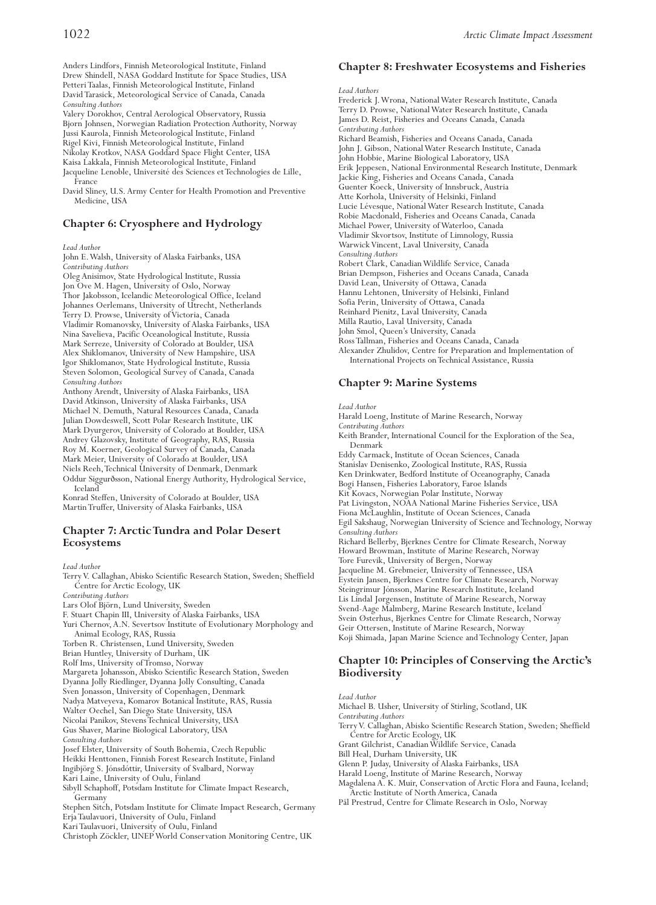Anders Lindfors, Finnish Meteorological Institute, Finland Drew Shindell, NASA Goddard Institute for Space Studies, USA Petteri Taalas, Finnish Meteorological Institute, Finland David Tarasick, Meteorological Service of Canada, Canada *Consulting Authors*

Valery Dorokhov, Central Aerological Observatory, Russia Bjorn Johnsen, Norwegian Radiation Protection Authority, Norway Jussi Kaurola, Finnish Meteorological Institute, Finland

Rigel Kivi, Finnish Meteorological Institute, Finland

Nikolay Krotkov, NASA Goddard Space Flight Center, USA

Kaisa Lakkala, Finnish Meteorological Institute, Finland

Jacqueline Lenoble, Université des Sciences et Technologies de Lille, France

David Sliney, U.S. Army Center for Health Promotion and Preventive Medicine, USA

## **Chapter 6: Cryosphere and Hydrology**

#### *Lead Author*

John E.Walsh, University of Alaska Fairbanks, USA *Contributing Authors*

Oleg Anisimov, State Hydrological Institute, Russia Jon Ove M. Hagen, University of Oslo, Norway Thor Jakobsson, Icelandic Meteorological Office, Iceland Johannes Oerlemans, University of Utrecht, Netherlands Terry D. Prowse, University of Victoria, Canada Vladimir Romanovsky, University of Alaska Fairbanks, USA Nina Savelieva, Pacific Oceanological Institute, Russia Mark Serreze, University of Colorado at Boulder, USA Alex Shiklomanov, University of New Hampshire, USA Igor Shiklomanov, State Hydrological Institute, Russia Steven Solomon, Geological Survey of Canada, Canada *Consulting Authors*

Anthony Arendt, University of Alaska Fairbanks, USA David Atkinson, University of Alaska Fairbanks, USA Michael N. Demuth, Natural Resources Canada, Canada Julian Dowdeswell, Scott Polar Research Institute, UK Mark Dyurgerov, University of Colorado at Boulder, USA Andrey Glazovsky, Institute of Geography, RAS, Russia Roy M. Koerner, Geological Survey of Canada, Canada Mark Meier, University of Colorado at Boulder, USA Niels Reeh,Technical University of Denmark, Denmark Oddur Siggurðsson, National Energy Authority, Hydrological Service, Iceland

Konrad Steffen, University of Colorado at Boulder, USA Martin Truffer, University of Alaska Fairbanks, USA

## **Chapter 7: Arctic Tundra and Polar Desert Ecosystems**

*Lead Author*

Terry V. Callaghan, Abisko Scientific Research Station, Sweden; Sheffield Centre for Arctic Ecology, UK

*Contributing Authors*

Lars Olof Björn, Lund University, Sweden

F. Stuart Chapin III, University of Alaska Fairbanks, USA

Yuri Chernov, A.N. Severtsov Institute of Evolutionary Morphology and Animal Ecology, RAS, Russia

Torben R. Christensen, Lund University, Sweden

Brian Huntley, University of Durham, UK

Rolf Ims, University of Tromsø, Norway

Margareta Johansson, Abisko Scientific Research Station, Sweden

Dyanna Jolly Riedlinger, Dyanna Jolly Consulting, Canada

Sven Jonasson, University of Copenhagen, Denmark

Nadya Matveyeva, Komarov Botanical Institute, RAS, Russia

Walter Oechel, San Diego State University, USA

Nicolai Panikov, Stevens Technical University, USA Gus Shaver, Marine Biological Laboratory, USA

*Consulting Authors*

Josef Elster, University of South Bohemia, Czech Republic Heikki Henttonen, Finnish Forest Research Institute, Finland

Ingibjörg S. Jónsdóttir, University of Svalbard, Norway

Kari Laine, University of Oulu, Finland

Sibyll Schaphoff, Potsdam Institute for Climate Impact Research, .<br>Germany

Stephen Sitch, Potsdam Institute for Climate Impact Research, Germany

Erja Taulavuori, University of Oulu, Finland

Kari Taulavuori, University of Oulu, Finland

Christoph Zöckler, UNEP World Conservation Monitoring Centre, UK

## **Chapter 8: Freshwater Ecosystems and Fisheries**

*Lead Authors*

Frederick J.Wrona, National Water Research Institute, Canada Terry D. Prowse, National Water Research Institute, Canada James D. Reist, Fisheries and Oceans Canada, Canada *Contributing Authors* Richard Beamish, Fisheries and Oceans Canada, Canada John J. Gibson, National Water Research Institute, Canada John Hobbie, Marine Biological Laboratory, USA Erik Jeppesen, National Environmental Research Institute, Denmark Jackie King, Fisheries and Oceans Canada, Canada Guenter Koeck, University of Innsbruck, Austria Atte Korhola, University of Helsinki, Finland Lucie Lévesque, National Water Research Institute, Canada Robie Macdonald, Fisheries and Oceans Canada, Canada Michael Power, University of Waterloo, Canada Vladimir Skvortsov, Institute of Limnology, Russia Warwick Vincent, Laval University, Canada *Consulting Authors* Robert Clark, Canadian Wildlife Service, Canada Brian Dempson, Fisheries and Oceans Canada, Canada David Lean, University of Ottawa, Canada Hannu Lehtonen, University of Helsinki, Finland Sofia Perin, University of Ottawa, Canada Reinhard Pienitz, Laval University, Canada Milla Rautio, Laval University, Canada John Smol, Queen's University, Canada Ross Tallman, Fisheries and Oceans Canada, Canada Alexander Zhulidov, Centre for Preparation and Implementation of International Projects on Technical Assistance, Russia

## **Chapter 9: Marine Systems**

*Lead Author* Harald Loeng, Institute of Marine Research, Norway *Contributing Authors* Keith Brander, International Council for the Exploration of the Sea, Denmark Eddy Carmack, Institute of Ocean Sciences, Canada Stanislav Denisenko, Zoological Institute, RAS, Russia Ken Drinkwater, Bedford Institute of Oceanography, Canada Bogi Hansen, Fisheries Laboratory, Faroe Islands Kit Kovacs, Norwegian Polar Institute, Norway Pat Livingston, NOAA National Marine Fisheries Service, USA Fiona McLaughlin, Institute of Ocean Sciences, Canada Egil Sakshaug, Norwegian University of Science and Technology, Norway *Consulting Authors* Richard Bellerby, Bjerknes Centre for Climate Research, Norway Howard Browman, Institute of Marine Research, Norway Tore Furevik, University of Bergen, Norway Jacqueline M. Grebmeier, University of Tennessee, USA Eystein Jansen, Bjerknes Centre for Climate Research, Norway Steingrimur Jónsson, Marine Research Institute, Iceland Lis Lindal Jørgensen, Institute of Marine Research, Norway Svend-Aage Malmberg, Marine Research Institute, Iceland Svein Østerhus, Bjerknes Centre for Climate Research, Norway Geir Ottersen, Institute of Marine Research, Norway Koji Shimada, Japan Marine Science and Technology Center, Japan

## **Chapter 10: Principles of Conserving the Arctic's Biodiversity**

*Lead Author*

Michael B. Usher, University of Stirling, Scotland, UK

*Contributing Authors*

Terry V. Callaghan, Abisko Scientific Research Station, Sweden; Sheffield Centre for Arctic Ecology, UK

Grant Gilchrist, Canadian Wildlife Service, Canada

Bill Heal, Durham University, UK

Glenn P. Juday, University of Alaska Fairbanks, USA

- Harald Loeng, Institute of Marine Research, Norway
- Magdalena A. K. Muir, Conservation of Arctic Flora and Fauna, Iceland; Arctic Institute of North America, Canada
- Pål Prestrud, Centre for Climate Research in Oslo, Norway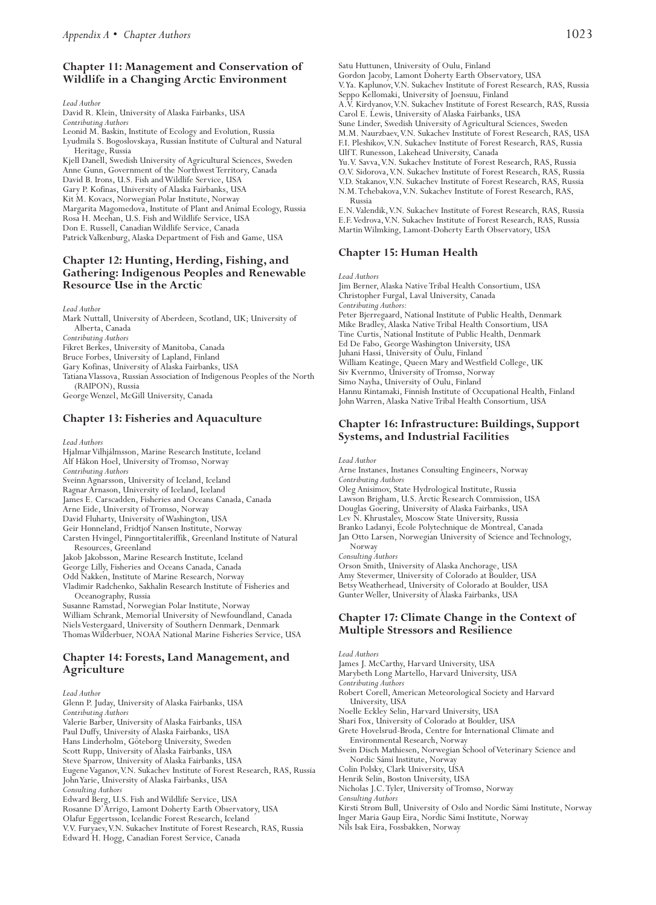## **Chapter 11: Management and Conservation of Wildlife in a Changing Arctic Environment**

*Lead Author*

- David R. Klein, University of Alaska Fairbanks, USA *Contributing Authors*
- Leonid M. Baskin, Institute of Ecology and Evolution, Russia Lyudmila S. Bogoslovskaya, Russian Institute of Cultural and Natural Heritage, Russia
- Kjell Danell, Swedish University of Agricultural Sciences, Sweden Anne Gunn, Government of the Northwest Territory, Canada David B. Irons, U.S. Fish and Wildlife Service, USA Gary P. Kofinas, University of Alaska Fairbanks, USA Kit M. Kovacs, Norwegian Polar Institute, Norway Margarita Magomedova, Institute of Plant and Animal Ecology, Russia Rosa H. Meehan, U.S. Fish and Wildlife Service, USA Don E. Russell, Canadian Wildlife Service, Canada Patrick Valkenburg, Alaska Department of Fish and Game, USA

## **Chapter 12: Hunting, Herding, Fishing, and Gathering: Indigenous Peoples and Renewable Resource Use in the Arctic**

*Lead Author*

Mark Nuttall, University of Aberdeen, Scotland, UK; University of Alberta, Canada *Contributing Authors* Fikret Berkes, University of Manitoba, Canada Bruce Forbes, University of Lapland, Finland Gary Kofinas, University of Alaska Fairbanks, USA Tatiana Vlassova, Russian Association of Indigenous Peoples of the North (RAIPON), Russia George Wenzel, McGill University, Canada

## **Chapter 13: Fisheries and Aquaculture**

*Lead Authors*

Hjalmar Vilhjálmsson, Marine Research Institute, Iceland Alf Håkon Hoel, University of Tromsø, Norway *Contributing Authors* Sveinn Agnarsson, University of Iceland, Iceland Ragnar Arnason, University of Iceland, Iceland James E. Carscadden, Fisheries and Oceans Canada, Canada Arne Eide, University of Tromsø, Norway David Fluharty, University of Washington, USA Geir Hønneland, Fridtjof Nansen Institute, Norway Carsten Hvingel, Pinngortitaleriffik, Greenland Institute of Natural Resources, Greenland Jakob Jakobsson, Marine Research Institute, Iceland George Lilly, Fisheries and Oceans Canada, Canada Odd Nakken, Institute of Marine Research, Norway Vladimir Radchenko, Sakhalin Research Institute of Fisheries and Oceanography, Russia Susanne Ramstad, Norwegian Polar Institute, Norway

William Schrank, Memorial University of Newfoundland, Canada Niels Vestergaard, University of Southern Denmark, Denmark Thomas Wilderbuer, NOAA National Marine Fisheries Service, USA

## **Chapter 14: Forests, Land Management, and Agriculture**

*Lead Author* Glenn P. Juday, University of Alaska Fairbanks, USA *Contributing Authors* Valerie Barber, University of Alaska Fairbanks, USA Paul Duffy, University of Alaska Fairbanks, USA Hans Linderholm, Göteborg University, Sweden Scott Rupp, University of Alaska Fairbanks, USA Steve Sparrow, University of Alaska Fairbanks, USA Eugene Vaganov,V.N. Sukachev Institute of Forest Research, RAS, Russia John Yarie, University of Alaska Fairbanks, USA *Consulting Authors* Edward Berg, U.S. Fish and Wildlife Service, USA Rosanne D'Arrigo, Lamont Doherty Earth Observatory, USA Olafur Eggertsson, Icelandic Forest Research, Iceland V.V. Furyaev, V.N. Sukachev Institute of Forest Research, RAS, Russia Edward H. Hogg, Canadian Forest Service, Canada

Satu Huttunen, University of Oulu, Finland

Gordon Jacoby, Lamont Doherty Earth Observatory, USA

V.Ya. Kaplunov,V.N. Sukachev Institute of Forest Research, RAS, Russia

Seppo Kellomaki, University of Joensuu, Finland A.V. Kirdyanov,V.N. Sukachev Institute of Forest Research, RAS, Russia

Carol E. Lewis, University of Alaska Fairbanks, USA

Sune Linder, Swedish University of Agricultural Sciences, Sweden M.M. Naurzbaev,V.N. Sukachev Institute of Forest Research, RAS, USA F.I. Pleshikov,V.N. Sukachev Institute of Forest Research, RAS, Russia

Ulf T. Runesson, Lakehead University, Canada

- Yu.V. Savva, V.N. Sukachev Institute of Forest Research, RAS, Russia
- O.V. Sidorova,V.N. Sukachev Institute of Forest Research, RAS, Russia
- V.D. Stakanov,V.N. Sukachev Institute of Forest Research, RAS, Russia N.M.Tchebakova,V.N. Sukachev Institute of Forest Research, RAS,
- Russia E.N.Valendik,V.N. Sukachev Institute of Forest Research, RAS, Russia

E.F.Vedrova,V.N. Sukachev Institute of Forest Research, RAS, Russia Martin Wilmking, Lamont-Doherty Earth Observatory, USA

## **Chapter 15: Human Health**

*Lead Authors* Jim Berner, Alaska Native Tribal Health Consortium, USA Christopher Furgal, Laval University, Canada *Contributing Authors:* Peter Bjerregaard, National Institute of Public Health, Denmark Mike Bradley, Alaska Native Tribal Health Consortium, USA Tine Curtis, National Institute of Public Health, Denmark Ed De Fabo, George Washington University, USA Juhani Hassi, University of Oulu, Finland William Keatinge, Queen Mary and Westfield College, UK Siv Kvernmo, University of Tromsø, Norway Simo Nayha, University of Oulu, Finland Hannu Rintamaki, Finnish Institute of Occupational Health, Finland John Warren, Alaska Native Tribal Health Consortium, USA

## **Chapter 16: Infrastructure: Buildings, Support Systems, and Industrial Facilities**

*Lead Author*

Arne Instanes, Instanes Consulting Engineers, Norway<br>Contributing Authors *Contributing Authors* Oleg Anisimov, State Hydrological Institute, Russia Lawson Brigham, U.S. Arctic Research Commission, USA Douglas Goering, University of Alaska Fairbanks, USA Lev N. Khrustalev, Moscow State University, Russia Branko Ladanyi, École Polytechnique de Montreal, Canada Jan Otto Larsen, Norwegian University of Science and Technology, Norway *Consulting Authors* Orson Smith, University of Alaska Anchorage, USA Amy Stevermer, University of Colorado at Boulder, USA

Betsy Weatherhead, University of Colorado at Boulder, USA Gunter Weller, University of Alaska Fairbanks, USA

## **Chapter 17: Climate Change in the Context of Multiple Stressors and Resilience**

*Lead Authors* James J. McCarthy, Harvard University, USA

Marybeth Long Martello, Harvard University, USA

*Contributing Authors*

- Robert Corell, American Meteorological Society and Harvard University, USA
- Noelle Eckley Selin, Harvard University, USA
- Shari Fox, University of Colorado at Boulder, USA
- Grete Hovelsrud-Broda, Centre for International Climate and
- Environmental Research, Norway Svein Disch Mathiesen, Norwegian School of Veterinary Science and Nordic Sámi Institute, Norway
- Colin Polsky, Clark University, USA

- Henrik Selin, Boston University, USA Nicholas J.C.Tyler, University of Tromsø, Norway
- *Consulting Authors*
- Kirsti Strøm Bull, University of Oslo and Nordic Sámi Institute, Norway
- Inger Maria Gaup Eira, Nordic Sámi Institute, Norway
- Nils Isak Eira, Fossbakken, Norway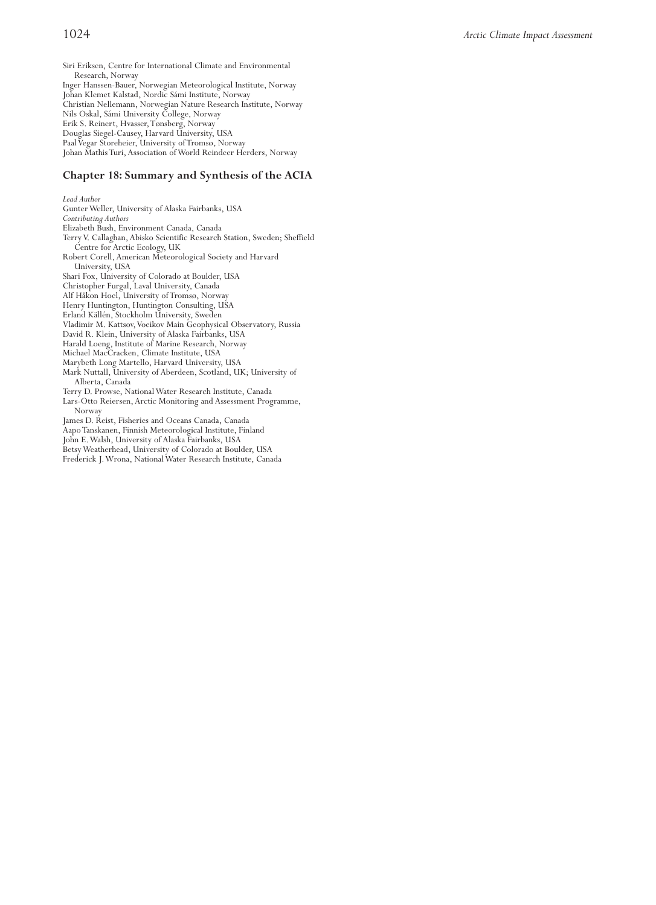Siri Eriksen, Centre for International Climate and Environmental Research, Norway Inger Hanssen-Bauer, Norwegian Meteorological Institute, Norway Johan Klemet Kalstad, Nordic Sámi Institute, Norway Christian Nellemann, Norwegian Nature Research Institute, Norway Nils Oskal, Sámi University College, Norway Erik S. Reinert, Hvasser,Tønsberg, Norway Douglas Siegel-Causey, Harvard University, USA Paal Vegar Storeheier, University of Tromsø, Norway Johan Mathis Turi, Association of World Reindeer Herders, Norway

## **Chapter 18: Summary and Synthesis of the ACIA**

*Lead Author* Gunter Weller, University of Alaska Fairbanks, USA *Contributing Authors* Elizabeth Bush, Environment Canada, Canada Terry V. Callaghan, Abisko Scientific Research Station, Sweden; Sheffield Centre for Arctic Ecology, UK Robert Corell, American Meteorological Society and Harvard University, USA Shari Fox, University of Colorado at Boulder, USA Christopher Furgal, Laval University, Canada Alf Håkon Hoel, University of Tromsø, Norway Henry Huntington, Huntington Consulting, USA Erland Källén, Stockholm University, Sweden Vladimir M. Kattsov,Voeikov Main Geophysical Observatory, Russia David R. Klein, University of Alaska Fairbanks, USA Harald Loeng, Institute of Marine Research, Norway Michael MacCracken, Climate Institute, USA Marybeth Long Martello, Harvard University, USA Mark Nuttall, University of Aberdeen, Scotland, UK; University of Alberta, Canada Terry D. Prowse, National Water Research Institute, Canada Lars-Otto Reiersen, Arctic Monitoring and Assessment Programme, Norway James D. Reist, Fisheries and Oceans Canada, Canada Aapo Tanskanen, Finnish Meteorological Institute, Finland John E.Walsh, University of Alaska Fairbanks, USA Betsy Weatherhead, University of Colorado at Boulder, USA Frederick J.Wrona, National Water Research Institute, Canada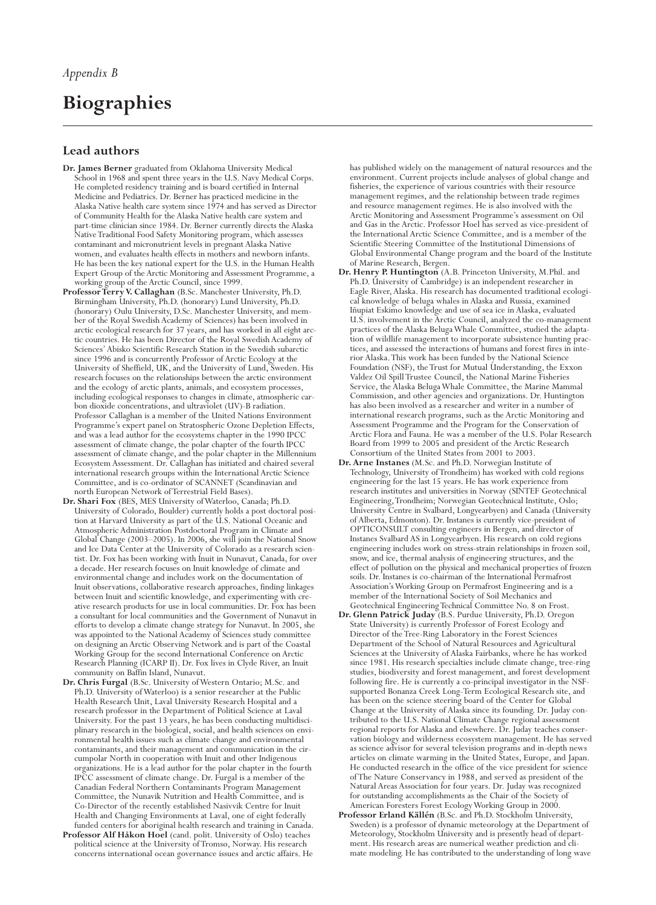# **Biographies**

## **Lead authors**

- **Dr. James Berner** graduated from Oklahoma University Medical School in 1968 and spent three years in the U.S. Navy Medical Corps. He completed residency training and is board certified in Internal Medicine and Pediatrics. Dr. Berner has practiced medicine in the Alaska Native health care system since 1974 and has served as Director of Community Health for the Alaska Native health care system and part-time clinician since 1984. Dr. Berner currently directs the Alaska Native Traditional Food Safety Monitoring program, which assesses contaminant and micronutrient levels in pregnant Alaska Native women, and evaluates health effects in mothers and newborn infants. He has been the key national expert for the U.S. in the Human Health Expert Group of the Arctic Monitoring and Assessment Programme, a working group of the Arctic Council, since 1999.
- **Professor Terry V. Callaghan** (B.Sc. Manchester University, Ph.D. Birmingham University, Ph.D. (honorary) Lund University, Ph.D. (honorary) Oulu University, D.Sc. Manchester University, and member of the Royal Swedish Academy of Sciences) has been involved in arctic ecological research for 37 years, and has worked in all eight arctic countries. He has been Director of the Royal Swedish Academy of Sciences' Abisko Scientific Research Station in the Swedish subarctic since 1996 and is concurrently Professor of Arctic Ecology at the University of Sheffield, UK, and the University of Lund, Sweden. His research focuses on the relationships between the arctic environment and the ecology of arctic plants, animals, and ecosystem processes, including ecological responses to changes in climate, atmospheric carbon dioxide concentrations, and ultraviolet (UV)-B radiation. Professor Callaghan is a member of the United Nations Environment Programme's expert panel on Stratospheric Ozone Depletion Effects, and was a lead author for the ecosystems chapter in the 1990 IPCC assessment of climate change, the polar chapter of the fourth IPCC assessment of climate change, and the polar chapter in the Millennium Ecosystem Assessment. Dr. Callaghan has initiated and chaired several international research groups within the International Arctic Science Committee, and is co-ordinator of SCANNET (Scandinavian and north European Network of Terrestrial Field Bases).
- **Dr. Shari Fox** (BES, MES University of Waterloo, Canada; Ph.D. University of Colorado, Boulder) currently holds a post doctoral position at Harvard University as part of the U.S. National Oceanic and Atmospheric Administration Postdoctoral Program in Climate and Global Change (2003–2005). In 2006, she will join the National Snow and Ice Data Center at the University of Colorado as a research scientist. Dr. Fox has been working with Inuit in Nunavut, Canada, for over a decade. Her research focuses on Inuit knowledge of climate and environmental change and includes work on the documentation of Inuit observations, collaborative research approaches, finding linkages between Inuit and scientific knowledge, and experimenting with creative research products for use in local communities. Dr. Fox has been a consultant for local communities and the Government of Nunavut in efforts to develop a climate change strategy for Nunavut. In 2005, she was appointed to the National Academy of Sciences study committee on designing an Arctic Observing Network and is part of the Coastal Working Group for the second International Conference on Arctic Research Planning (ICARP II). Dr. Fox lives in Clyde River, an Inuit community on Baffin Island, Nunavut.
- **Dr. Chris Furgal** (B.Sc. University of Western Ontario; M.Sc. and Ph.D. University of Waterloo) is a senior researcher at the Public Health Research Unit, Laval University Research Hospital and a research professor in the Department of Political Science at Laval University. For the past 13 years, he has been conducting multidisciplinary research in the biological, social, and health sciences on environmental health issues such as climate change and environmental contaminants, and their management and communication in the circumpolar North in cooperation with Inuit and other Indigenous organizations. He is a lead author for the polar chapter in the fourth IPCC assessment of climate change. Dr. Furgal is a member of the Canadian Federal Northern Contaminants Program Management Committee, the Nunavik Nutrition and Health Committee, and is Co-Director of the recently established Nasivvik Centre for Inuit Health and Changing Environments at Laval, one of eight federally funded centers for aboriginal health research and training in Canada.
- **Professor Alf Håkon Hoel** (cand. polit. University of Oslo) teaches political science at the University of Tromsø, Norway. His research concerns international ocean governance issues and arctic affairs. He

has published widely on the management of natural resources and the environment. Current projects include analyses of global change and fisheries, the experience of various countries with their resource management regimes, and the relationship between trade regimes and resource management regimes. He is also involved with the Arctic Monitoring and Assessment Programme's assessment on Oil and Gas in the Arctic. Professor Hoel has served as vice-president of the International Arctic Science Committee, and is a member of the Scientific Steering Committee of the Institutional Dimensions of Global Environmental Change program and the board of the Institute of Marine Research, Bergen.

- **Dr. Henry P. Huntington** (A.B. Princeton University, M.Phil. and Ph.D. University of Cambridge) is an independent researcher in Eagle River, Alaska. His research has documented traditional ecological knowledge of beluga whales in Alaska and Russia, examined Iñupiat Eskimo knowledge and use of sea ice in Alaska, evaluated U.S. involvement in the Arctic Council, analyzed the co-management practices of the Alaska Beluga Whale Committee, studied the adaptation of wildlife management to incorporate subsistence hunting practices, and assessed the interactions of humans and forest fires in interior Alaska.This work has been funded by the National Science Foundation (NSF), the Trust for Mutual Understanding, the Exxon Valdez Oil Spill Trustee Council, the National Marine Fisheries Service, the Alaska Beluga Whale Committee, the Marine Mammal Commission, and other agencies and organizations. Dr. Huntington has also been involved as a researcher and writer in a number of international research programs, such as the Arctic Monitoring and Assessment Programme and the Program for the Conservation of Arctic Flora and Fauna. He was a member of the U.S. Polar Research Board from 1999 to 2005 and president of the Arctic Research Consortium of the United States from 2001 to 2003.
- **Dr. Arne Instanes** (M.Sc. and Ph.D. Norwegian Institute of Technology, University of Trondheim) has worked with cold regions engineering for the last 15 years. He has work experience from research institutes and universities in Norway (SINTEF Geotechnical Engineering,Trondheim; Norwegian Geotechnical Institute, Oslo; University Centre in Svalbard, Longyearbyen) and Canada (University of Alberta, Edmonton). Dr. Instanes is currently vice-president of OPTICONSULT consulting engineers in Bergen, and director of Instanes Svalbard AS in Longyearbyen. His research on cold regions engineering includes work on stress-strain relationships in frozen soil, snow, and ice, thermal analysis of engineering structures, and the effect of pollution on the physical and mechanical properties of frozen soils. Dr. Instanes is co-chairman of the International Permafrost Association'sWorking Group on Permafrost Engineering and is a member of the International Society of Soil Mechanics and Geotechnical Engineering Technical Committee No. 8 on Frost.
- **Dr. Glenn Patrick Juday** (B.S. Purdue University, Ph.D. Oregon State University) is currently Professor of Forest Ecology and Director of the Tree-Ring Laboratory in the Forest Sciences Department of the School of Natural Resources and Agricultural Sciences at the University of Alaska Fairbanks, where he has worked since 1981. His research specialties include climate change, tree-ring studies, biodiversity and forest management, and forest development following fire. He is currently a co-principal investigator in the NSFsupported Bonanza Creek Long-Term Ecological Research site, and has been on the science steering board of the Center for Global Change at the University of Alaska since its founding. Dr. Juday contributed to the U.S. National Climate Change regional assessment regional reports for Alaska and elsewhere. Dr. Juday teaches conservation biology and wilderness ecosystem management. He has served as science advisor for several television programs and in-depth news articles on climate warming in the United States, Europe, and Japan. He conducted research in the office of the vice president for science of The Nature Conservancy in 1988, and served as president of the Natural Areas Association for four years. Dr. Juday was recognized for outstanding accomplishments as the Chair of the Society of American Foresters Forest Ecology Working Group in 2000.
- **Professor Erland Källén** (B.Sc. and Ph.D. Stockholm University, Sweden) is a professor of dynamic meteorology at the Department of Meteorology, Stockholm University and is presently head of depart- ment. His research areas are numerical weather prediction and climate modeling. He has contributed to the understanding of long wave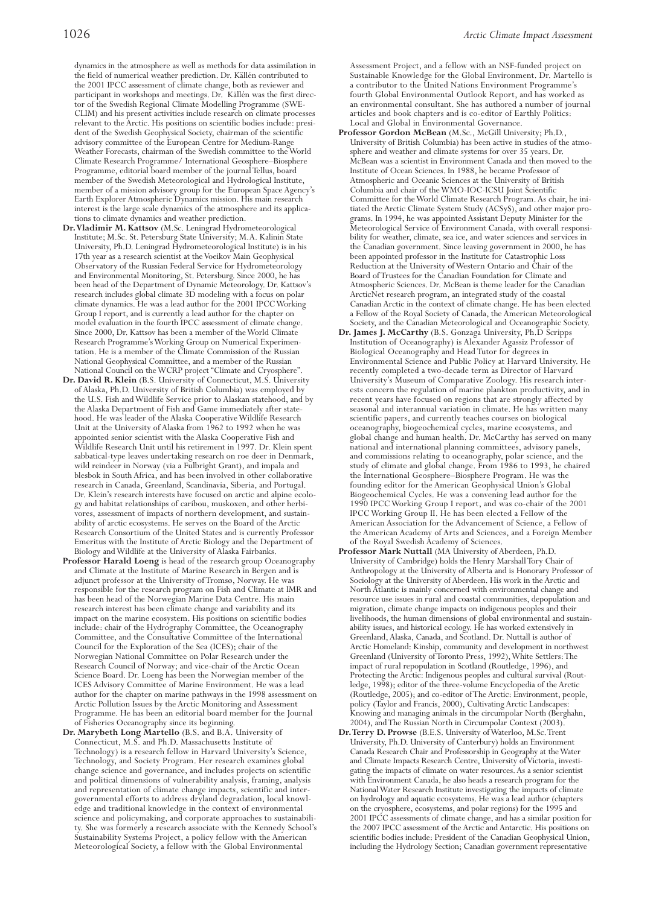dynamics in the atmosphere as well as methods for data assimilation in the field of numerical weather prediction. Dr. Källén contributed to the 2001 IPCC assessment of climate change, both as reviewer and participant in workshops and meetings. Dr. Källén was the first director of the Swedish Regional Climate Modelling Programme (SWE-CLIM) and his present activities include research on climate processes relevant to the Arctic. His positions on scientific bodies include: president of the Swedish Geophysical Society, chairman of the scientific advisory committee of the European Centre for Medium-Range Weather Forecasts, chairman of the Swedish committee to the World Climate Research Programme/ International Geosphere–Biosphere Programme, editorial board member of the journal Tellus, board member of the Swedish Meteorological and Hydrological Institute, member of a mission advisory group for the European Space Agency's Earth Explorer Atmospheric Dynamics mission. His main research interest is the large scale dynamics of the atmosphere and its applications to climate dynamics and weather prediction.

- **Dr.Vladimir M. Kattsov** (M.Sc. Leningrad Hydrometeorological Institute; M.Sc. St. Petersburg State University; M.A. Kalinin State University, Ph.D. Leningrad Hydrometeorological Institute) is in his 17th year as a research scientist at the Voeikov Main Geophysical Observatory of the Russian Federal Service for Hydrometeorology and Environmental Monitoring, St. Petersburg. Since 2000, he has been head of the Department of Dynamic Meteorology. Dr. Kattsov's research includes global climate 3D modeling with a focus on polar climate dynamics. He was a lead author for the 2001 IPCC Working Group I report, and is currently a lead author for the chapter on model evaluation in the fourth IPCC assessment of climate change. Since 2000, Dr. Kattsov has been a member of the World Climate Research Programme's Working Group on Numerical Experimentation. He is a member of the Climate Commission of the Russian National Geophysical Committee, and a member of the Russian National Council on the WCRP project "Climate and Cryosphere".
- **Dr. David R. Klein** (B.S. University of Connecticut, M.S. University of Alaska, Ph.D. University of British Columbia) was employed by the U.S. Fish and Wildlife Service prior to Alaskan statehood, and by the Alaska Department of Fish and Game immediately after statehood. He was leader of the Alaska Cooperative Wildlife Research appointed senior scientist with the Alaska Cooperative Fish and Wildlife Research Unit until his retirement in 1997. Dr. Klein spent sabbatical-type leaves undertaking research on roe deer in Denmark, wild reindeer in Norway (via a Fulbright Grant), and impala and blesbok in South Africa, and has been involved in other collaborative research in Canada, Greenland, Scandinavia, Siberia, and Portugal. Dr. Klein's research interests have focused on arctic and alpine ecology and habitat relationships of caribou, muskoxen, and other herbi- vores, assessment of impacts of northern development, and sustainability of arctic ecosystems. He serves on the Board of the Arctic Research Consortium of the United States and is currently Professor Emeritus with the Institute of Arctic Biology and the Department of Biology and Wildlife at the University of Alaska Fairbanks.
- **Professor Harald Loeng** is head of the research group Oceanography and Climate at the Institute of Marine Research in Bergen and is adjunct professor at the University of Tromsø, Norway. He was responsible for the research program on Fish and Climate at IMR and has been head of the Norwegian Marine Data Centre. His main research interest has been climate change and variability and its impact on the marine ecosystem. His positions on scientific bodies include: chair of the Hydrography Committee, the Oceanography Committee, and the Consultative Committee of the International Council for the Exploration of the Sea (ICES); chair of the Norwegian National Committee on Polar Research under the Research Council of Norway; and vice-chair of the Arctic Ocean Science Board. Dr. Loeng has been the Norwegian member of the ICES Advisory Committee of Marine Environment. He was a lead author for the chapter on marine pathways in the 1998 assessment on Arctic Pollution Issues by the Arctic Monitoring and Assessment Programme. He has been an editorial board member for the Journal of Fisheries Oceanography since its beginning.
- **Dr. Marybeth Long Martello** (B.S. and B.A. University of Connecticut, M.S. and Ph.D. Massachusetts Institute of Technology) is a research fellow in Harvard University's Science, Technology, and Society Program. Her research examines global change science and governance, and includes projects on scientific and political dimensions of vulnerability analysis, framing, analysis and representation of climate change impacts, scientific and intergovernmental efforts to address dryland degradation, local knowledge and traditional knowledge in the context of environmental science and policymaking, and corporate approaches to sustainability. She was formerly a research associate with the Kennedy School's Sustainability Systems Project, a policy fellow with the American Meteorological Society, a fellow with the Global Environmental

Assessment Project, and a fellow with an NSF-funded project on Sustainable Knowledge for the Global Environment. Dr. Martello is a contributor to the United Nations Environment Programme's fourth Global Environmental Outlook Report, and has worked as an environmental consultant. She has authored a number of journal articles and book chapters and is co-editor of Earthly Politics: Local and Global in Environmental Governance.

- **Professor Gordon McBean** (M.Sc., McGill University; Ph.D., University of British Columbia) has been active in studies of the atmosphere and weather and climate systems for over 35 years. Dr. McBean was a scientist in Environment Canada and then moved to the Institute of Ocean Sciences. In 1988, he became Professor of Atmospheric and Oceanic Sciences at the University of British Columbia and chair of the WMO-IOC-ICSU Joint Scientific Committee for the World Climate Research Program. As chair, he initiated the Arctic Climate System Study (ACSyS), and other major programs. In 1994, he was appointed Assistant Deputy Minister for the Meteorological Service of Environment Canada, with overall responsibility for weather, climate, sea ice, and water sciences and services in the Canadian government. Since leaving government in 2000, he has been appointed professor in the Institute for Catastrophic Loss Reduction at the University of Western Ontario and Chair of the Board of Trustees for the Canadian Foundation for Climate and Atmospheric Sciences. Dr. McBean is theme leader for the Canadian ArcticNet research program, an integrated study of the coastal Canadian Arctic in the context of climate change. He has been elected a Fellow of the Royal Society of Canada, the American Meteorological Society, and the Canadian Meteorological and Oceanographic Society.
- **Dr. James J. McCarthy** (B.S. Gonzaga University, Ph.D Scripps Institution of Oceanography) is Alexander Agassiz Professor of Biological Oceanography and Head Tutor for degrees in Environmental Science and Public Policy at Harvard University. He recently completed a two-decade term as Director of Harvard University's Museum of Comparative Zoology. His research interests concern the regulation of marine plankton productivity, and in recent years have focused on regions that are strongly affected by seasonal and interannual variation in climate. He has written many scientific papers, and currently teaches courses on biological oceanography, biogeochemical cycles, marine ecosystems, and global change and human health. Dr. McCarthy has served on many national and international planning committees, advisory panels, and commissions relating to oceanography, polar science, and the study of climate and global change. From 1986 to 1993, he chaired the International Geosphere–Biosphere Program. He was the founding editor for the American Geophysical Union's Global Biogeochemical Cycles. He was a convening lead author for the 1990 IPCC Working Group I report, and was co-chair of the 2001 IPCC Working Group II. He has been elected a Fellow of the American Association for the Advancement of Science, a Fellow of the American Academy of Arts and Sciences, and a Foreign Member of the Royal Swedish Academy of Sciences.
- **Professor Mark Nuttall** (MA University of Aberdeen, Ph.D. University of Cambridge) holds the Henry Marshall Tory Chair of Anthropology at the University of Alberta and is Honorary Professor of Sociology at the University of Aberdeen. His work in the Arctic and North Atlantic is mainly concerned with environmental change and resource use issues in rural and coastal communities, depopulation and migration, climate change impacts on indigenous peoples and their livelihoods, the human dimensions of global environmental and sustainability issues, and historical ecology. He has worked extensively in Greenland, Alaska, Canada, and Scotland. Dr. Nuttall is author of Arctic Homeland: Kinship, community and development in northwest Greenland (University of Toronto Press, 1992),White Settlers:The impact of rural repopulation in Scotland (Routledge, 1996), and Protecting the Arctic: Indigenous peoples and cultural survival (Routledge, 1998); editor of the three-volume Encyclopedia of the Arctic (Routledge, 2005); and co-editor of The Arctic: Environment, people, policy (Taylor and Francis, 2000), Cultivating Arctic Landscapes: Knowing and managing animals in the circumpolar North (Berghahn, 2004), and The Russian North in Circumpolar Context (2003).
- **Dr.Terry D. Prowse** (B.E.S. University of Waterloo, M.Sc.Trent University, Ph.D. University of Canterbury) holds an Environment Canada Research Chair and Professorship in Geography at the Water and Climate Impacts Research Centre, University of Victoria, investigating the impacts of climate on water resources.As a senior scientist with Environment Canada, he also heads a research program for the National Water Research Institute investigating the impacts of climate on hydrology and aquatic ecosystems. He was a lead author (chapters on the cryosphere, ecosystems, and polar regions) for the 1995 and 2001 IPCC assessments of climate change, and has a similar position for the 2007 IPCC assessment of the Arctic and Antarctic. His positions on scientific bodies include: President of the Canadian Geophysical Union, including the Hydrology Section; Canadian government representative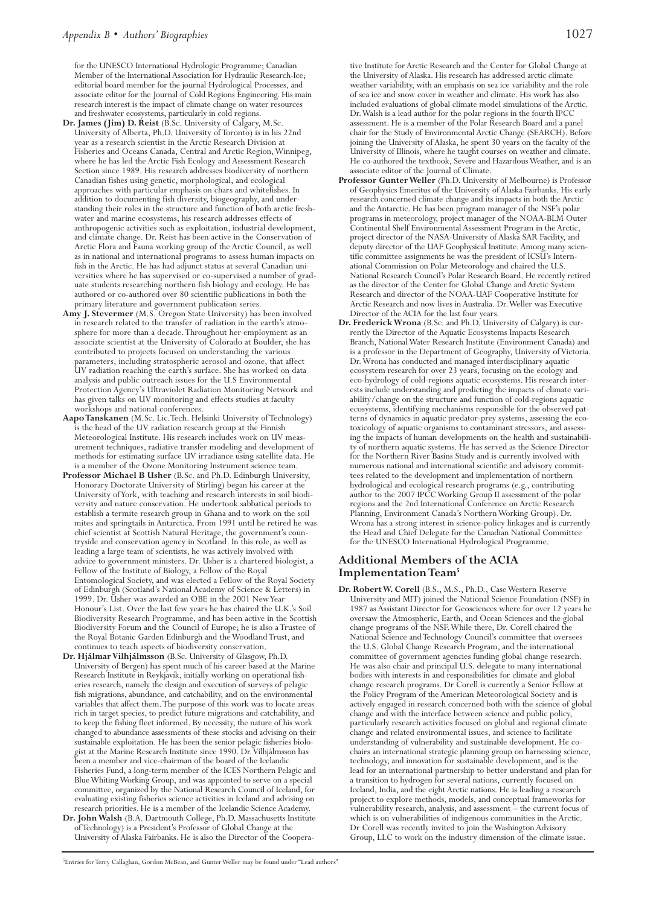for the UNESCO International Hydrologic Programme; Canadian Member of the International Association for Hydraulic Research-Ice; editorial board member for the journal Hydrological Processes, and associate editor for the Journal of Cold Regions Engineering. His main research interest is the impact of climate change on water resources and freshwater ecosystems, particularly in cold regions.

- **Dr. James (Jim) D. Reist** (B.Sc. University of Calgary, M.Sc. University of Alberta, Ph.D. University of Toronto) is in his 22nd year as a research scientist in the Arctic Research Division at Fisheries and Oceans Canada, Central and Arctic Region,Winnipeg, where he has led the Arctic Fish Ecology and Assessment Research Section since 1989. His research addresses biodiversity of northern Canadian fishes using genetic, morphological, and ecological approaches with particular emphasis on chars and whitefishes. In addition to documenting fish diversity, biogeography, and understanding their roles in the structure and function of both arctic freshwater and marine ecosystems, his research addresses effects of anthropogenic activities such as exploitation, industrial development, and climate change. Dr. Reist has been active in the Conservation of Arctic Flora and Fauna working group of the Arctic Council, as well as in national and international programs to assess human impacts on fish in the Arctic. He has had adjunct status at several Canadian universities where he has supervised or co-supervised a number of graduate students researching northern fish biology and ecology. He has authored or co-authored over 80 scientific publications in both the primary literature and government publication series.
- Amy J. Stevermer (M.S. Oregon State University) has been involved in research related to the transfer of radiation in the earth's atmosphere for more than a decade.Throughout her employment as an associate scientist at the University of Colorado at Boulder, she has contributed to projects focused on understanding the various parameters, including stratospheric aerosol and ozone, that affect UV radiation reaching the earth's surface. She has worked on data analysis and public outreach issues for the U.S Environmental Protection Agency's Ultraviolet Radiation Monitoring Network and has given talks on UV monitoring and effects studies at faculty workshops and national conferences.
- **Aapo Tanskanen** (M.Sc. Lic.Tech. Helsinki University of Technology) is the head of the UV radiation research group at the Finnish Meteorological Institute. His research includes work on UV measurement techniques, radiative transfer modeling and development of methods for estimating surface UV irradiance using satellite data. He is a member of the Ozone Monitoring Instrument science team.
- **Professor Michael B Usher** (B.Sc. and Ph.D. Edinburgh University, Honorary Doctorate University of Stirling) began his career at the University of York, with teaching and research interests in soil biodiversity and nature conservation. He undertook sabbatical periods to establish a termite research group in Ghana and to work on the soil mites and springtails in Antarctica. From 1991 until he retired he was chief scientist at Scottish Natural Heritage, the government's countryside and conservation agency in Scotland. In this role, as well as leading a large team of scientists, he was actively involved with advice to government ministers. Dr. Usher is a chartered biologist, a Fellow of the Institute of Biology, a Fellow of the Royal Entomological Society, and was elected a Fellow of the Royal Society of Edinburgh (Scotland's National Academy of Science & Letters) in 1999. Dr. Usher was awarded an OBE in the 2001 New Year Honour's List. Over the last few years he has chaired the U.K.'s Soil Biodiversity Research Programme, and has been active in the Scottish Biodiversity Forum and the Council of Europe; he is also a Trustee of the Royal Botanic Garden Edinburgh and the Woodland Trust, and continues to teach aspects of biodiversity conservation.
- **Dr. Hjálmar Vilhjálmsson** (B.Sc. University of Glasgow, Ph.D. University of Bergen) has spent much of his career based at the Marine Research Institute in Reykjavík, initially working on operational fisheries research, namely the design and execution of surveys of pelagic fish migrations, abundance, and catchability, and on the environmental variables that affect them.The purpose of this work was to locate areas rich in target species, to predict future migrations and catchability, and to keep the fishing fleet informed. By necessity, the nature of his work changed to abundance assessments of these stocks and advising on their sustainable exploitation. He has been the senior pelagic fisheries biologist at the Marine Research Institute since 1990. Dr.Vilhjálmsson has been a member and vice-chairman of the board of the Icelandic Fisheries Fund, a long-term member of the ICES Northern Pelagic and Blue Whiting Working Group, and was appointed to serve on a special committee, organized by the National Research Council of Iceland, for evaluating existing fisheries science activities in Iceland and advising on research priorities. He is a member of the Icelandic Science Academy.
- **Dr. John Walsh** (B.A. Dartmouth College, Ph.D. Massachusetts Institute of Technology) is a President's Professor of Global Change at the University of Alaska Fairbanks. He is also the Director of the Coopera-

tive Institute for Arctic Research and the Center for Global Change at the University of Alaska. His research has addressed arctic climate weather variability, with an emphasis on sea ice variability and the role of sea ice and snow cover in weather and climate. His work has also included evaluations of global climate model simulations of the Arctic. Dr.Walsh is a lead author for the polar regions in the fourth IPCC assessment. He is a member of the Polar Research Board and a panel chair for the Study of Environmental Arctic Change (SEARCH). Before joining the University of Alaska, he spent 30 years on the faculty of the University of Illinois, where he taught courses on weather and climate. He co-authored the textbook, Severe and Hazardous Weather, and is an

- associate editor of the Journal of Climate.<br>**Professor Gunter Weller** (Ph.D. University of Melbourne) is Professor of Geophysics Emeritus of the University of Alaska Fairbanks. His early research concerned climate change and its impacts in both the Arctic and the Antarctic. He has been program manager of the NSF's polar programs in meteorology, project manager of the NOAA-BLM Outer Continental Shelf Environmental Assessment Program in the Arctic, project director of the NASA-University of Alaska SAR Facility, and deputy director of the UAF Geophysical Institute. Among many scientific committee assignments he was the president of ICSU's International Commission on Polar Meteorology and chaired the U.S. National Research Council's Polar Research Board. He recently retired as the director of the Center for Global Change and Arctic System Research and director of the NOAA-UAF Cooperative Institute for Arctic Research and now lives in Australia. Dr. Weller was Executive Director of the ACIA for the last four years.
- **Dr. Frederick Wrona** (B.Sc. and Ph.D. University of Calgary) is currently the Director of the Aquatic Ecosystems Impacts Research Branch, National Water Research Institute (Environment Canada) and is a professor in the Department of Geography, University of Victoria. Dr.Wrona has conducted and managed interdisciplinary aquatic ecosystem research for over 23 years, focusing on the ecology and eco-hydrology of cold-regions aquatic ecosystems. His research interests include understanding and predicting the impacts of climate variability/change on the structure and function of cold-regions aquatic ecosystems, identifying mechanisms responsible for the observed patterns of dynamics in aquatic predator-prey systems, assessing the eco-<br>toxicology of aquatic organisms to contaminant stressors, and assessing the impacts of human developments on the health and sustainability of northern aquatic systems. He has served as the Science Director for the Northern River Basins Study and is currently involved with numerous national and international scientific and advisory committees related to the development and implementation of northern hydrological and ecological research programs (e.g., contributing author to the 2007 IPCC Working Group II assessment of the polar regions and the 2nd International Conference on Arctic Research Planning, Environment Canada's Northern Working Group). Dr. Wrona has a strong interest in science-policy linkages and is currently the Head and Chief Delegate for the Canadian National Committee for the UNESCO International Hydrological Programme.

## **Additional Members of the ACIA Implementation Team5**

**Dr. RobertW. Corell** (B.S., M.S., Ph.D., Case Western Reserve University and MIT) joined the National Science Foundation (NSF) in 1987 as Assistant Director for Geosciences where for over 12 years he oversaw the Atmospheric, Earth, and Ocean Sciences and the global change programs of the NSF.While there, Dr. Corell chaired the National Science and Technology Council's committee that oversees the U.S. Global Change Research Program, and the international committee of government agencies funding global change research. He was also chair and principal U.S. delegate to many international bodies with interests in and responsibilities for climate and global change research programs. Dr Corell is currently a Senior Fellow at the Policy Program of the American Meteorological Society and is actively engaged in research concerned both with the science of global change and with the interface between science and public policy, particularly research activities focused on global and regional climate change and related environmental issues, and science to facilitate understanding of vulnerability and sustainable development. He cochairs an international strategic planning group on harnessing science, technology, and innovation for sustainable development, and is the lead for an international partnership to better understand and plan for a transition to hydrogen for several nations, currently focused on Iceland, India, and the eight Arctic nations. He is leading a research project to explore methods, models, and conceptual frameworks for vulnerability research, analysis, and assessment – the current focus of which is on vulnerabilities of indigenous communities in the Arctic. Dr Corell was recently invited to join the Washington Advisory Group, LLC to work on the industry dimension of the climate issue.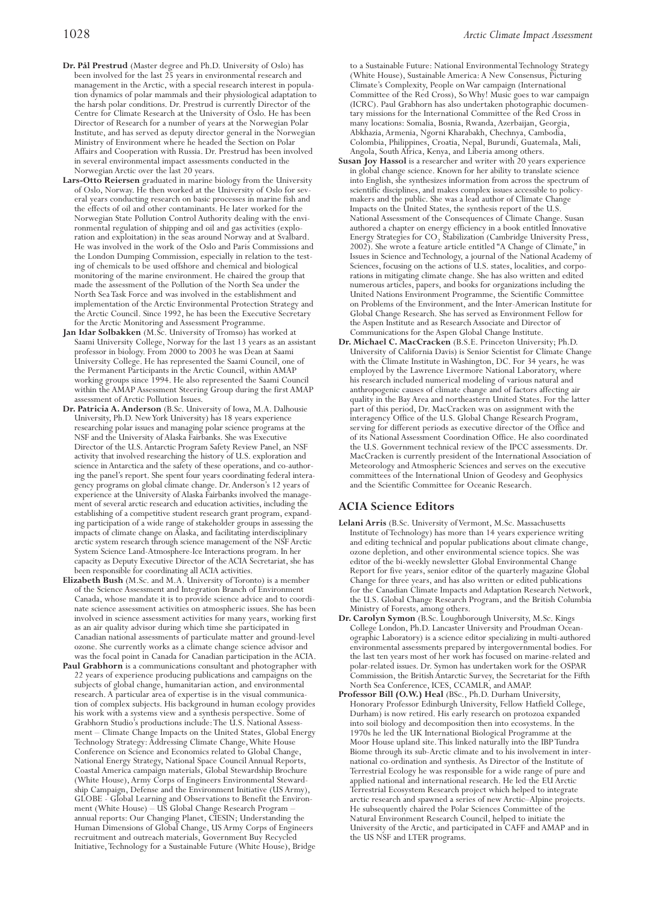- **Dr. Pål Prestrud** (Master degree and Ph.D. University of Oslo) has been involved for the last 25 years in environmental research and management in the Arctic, with a special research interest in population dynamics of polar mammals and their physiological adaptation to the harsh polar conditions. Dr. Prestrud is currently Director of the Centre for Climate Research at the University of Oslo. He has been Director of Research for a number of years at the Norwegian Polar Institute, and has served as deputy director general in the Norwegian Ministry of Environment where he headed the Section on Polar Affairs and Cooperation with Russia. Dr. Prestrud has been involved in several environmental impact assessments conducted in the Norwegian Arctic over the last 20 years.
- **Lars-Otto Reiersen** graduated in marine biology from the University of Oslo, Norway. He then worked at the University of Oslo for several years conducting research on basic processes in marine fish and the effects of oil and other contaminants. He later worked for the Norwegian State Pollution Control Authority dealing with the environmental regulation of shipping and oil and gas activities (exploration and exploitation) in the seas around Norway and at Svalbard. He was involved in the work of the Oslo and Paris Commissions and the London Dumping Commission, especially in relation to the testing of chemicals to be used offshore and chemical and biological monitoring of the marine environment. He chaired the group that made the assessment of the Pollution of the North Sea under the North Sea Task Force and was involved in the establishment and implementation of the Arctic Environmental Protection Strategy and the Arctic Council. Since 1992, he has been the Executive Secretary for the Arctic Monitoring and Assessment Programme.
- **Jan Idar Solbakken** (M.Sc. University of Tromsø) has worked at Saami University College, Norway for the last 13 years as an assistant professor in biology. From 2000 to 2003 he was Dean at Saami University College. He has represented the Saami Council, one of the Permanent Participants in the Arctic Council, within AMAP working groups since 1994. He also represented the Saami Council within the AMAP Assessment Steering Group during the first AMAP assessment of Arctic Pollution Issues.
- **Dr. Patricia A. Anderson** (B.Sc. University of Iowa, M.A. Dalhousie University, Ph.D. New York University) has 18 years experience researching polar issues and managing polar science programs at the NSF and the University of Alaska Fairbanks. She was Executive Director of the U.S. Antarctic Program Safety Review Panel, an NSF activity that involved researching the history of U.S. exploration and science in Antarctica and the safety of these operations, and co-author- ing the panel's report. She spent four years coordinating federal interagency programs on global climate change. Dr.Anderson's 12 years of experience at the University of Alaska Fairbanks involved the management of several arctic research and education activities, including the establishing of a competitive student research grant program, expanding participation of a wide range of stakeholder groups in assessing the impacts of climate change on Alaska, and facilitating interdisciplinary arctic system research through science management of the NSF Arctic System Science Land-Atmosphere-Ice Interactions program. In her capacity as Deputy Executive Director of the ACIA Secretariat, she has been responsible for coordinating all ACIA activities.
- **Elizabeth Bush** (M.Sc. and M.A. University of Toronto) is a member of the Science Assessment and Integration Branch of Environment Canada, whose mandate it is to provide science advice and to coordinate science assessment activities on atmospheric issues. She has been involved in science assessment activities for many years, working first as an air quality advisor during which time she participated in Canadian national assessments of particulate matter and ground-level ozone. She currently works as a climate change science advisor and was the focal point in Canada for Canadian participation in the ACIA.
- Paul Grabhorn is a communications consultant and photographer with 22 years of experience producing publications and campaigns on the subjects of global change, humanitarian action, and environmental research. A particular area of expertise is in the visual communication of complex subjects. His background in human ecology provides his work with a systems view and a synthesis perspective. Some of Grabhorn Studio's productions include:The U.S. National Assessment – Climate Change Impacts on the United States, Global Energy Technology Strategy: Addressing Climate Change,White House Conference on Science and Economics related to Global Change, National Energy Strategy, National Space Council Annual Reports, Coastal America campaign materials, Global Stewardship Brochure (White House),Army Corps of Engineers Environmental Stewardship Campaign, Defense and the Environment Initiative (US Army), GLOBE - Global Learning and Observations to Benefit the Environment (White House) – US Global Change Research Program – annual reports: Our Changing Planet, CIESIN; Understanding the Human Dimensions of Global Change, US Army Corps of Engineers recruitment and outreach materials, Government Buy Recycled Initiative,Technology for a Sustainable Future (White House), Bridge

to a Sustainable Future: National Environmental Technology Strategy (White House), Sustainable America: A New Consensus, Picturing Climate's Complexity, People on War campaign (International Committee of the Red Cross), So Why! Music goes to war campaign (ICRC). Paul Grabhorn has also undertaken photographic documentary missions for the International Committee of the Red Cross in many locations: Somalia, Bosnia, Rwanda, Azerbaijan, Georgia, Abkhazia, Armenia, Ngorni Kharabakh, Chechnya, Cambodia, Colombia, Philippines, Croatia, Nepal, Burundi, Guatemala, Mali, Angola, South Africa, Kenya, and Liberia among others.

- Susan Joy Hassol is a researcher and writer with 20 years experience in global change science. Known for her ability to translate science into English, she synthesizes information from across the spectrum of scientific disciplines, and makes complex issues accessible to policymakers and the public. She was a lead author of Climate Change Impacts on the United States, the synthesis report of the U.S. National Assessment of the Consequences of Climate Change. Susan authored a chapter on energy efficiency in a book entitled Innovative Energy Strategies for CO<sub>2</sub> Stabilization (Cambridge University Press, 2002). She wrote a feature article entitled "A Change of Climate," in Issues in Science and Technology, a journal of the National Academy of Sciences, focusing on the actions of U.S. states, localities, and corporations in mitigating climate change. She has also written and edited numerous articles, papers, and books for organizations including the United Nations Environment Programme, the Scientific Committee on Problems of the Environment, and the Inter-American Institute for Global Change Research. She has served as Environment Fellow for the Aspen Institute and as Research Associate and Director of Communications for the Aspen Global Change Institute.
- **Dr. Michael C. MacCracken** (B.S.E. Princeton University; Ph.D. University of California Davis) is Senior Scientist for Climate Change with the Climate Institute in Washington, DC. For 34 years, he was employed by the Lawrence Livermore National Laboratory, where his research included numerical modeling of various natural and anthropogenic causes of climate change and of factors affecting air quality in the Bay Area and northeastern United States. For the latter part of this period, Dr. MacCracken was on assignment with the interagency Office of the U.S. Global Change Research Program, serving for different periods as executive director of the Office and of its National Assessment Coordination Office. He also coordinated the U.S. Government technical review of the IPCC assessments. Dr. MacCracken is currently president of the International Association of Meteorology and Atmospheric Sciences and serves on the executive committees of the International Union of Geodesy and Geophysics and the Scientific Committee for Oceanic Research.

## **ACIA Science Editors**

- **Lelani Arris** (B.Sc. University of Vermont, M.Sc. Massachusetts Institute of Technology) has more than 14 years experience writing and editing technical and popular publications about climate change, ozone depletion, and other environmental science topics. She was editor of the bi-weekly newsletter Global Environmental Change Report for five years, senior editor of the quarterly magazine Global Change for three years, and has also written or edited publications for the Canadian Climate Impacts and Adaptation Research Network, the U.S. Global Change Research Program, and the British Columbia Ministry of Forests, among others.
- **Dr. Carolyn Symon** (B.Sc. Loughborough University, M.Sc. Kings College London, Ph.D. Lancaster University and Proudman Oceanographic Laboratory) is a science editor specializing in multi-authored environmental assessments prepared by intergovernmental bodies. For the last ten years most of her work has focused on marine-related and polar-related issues. Dr. Symon has undertaken work for the OSPAR Commission, the British Antarctic Survey, the Secretariat for the Fifth North Sea Conference, ICES, CCAMLR, and AMAP.
- **Professor Bill (O.W.) Heal** (BSc., Ph.D. Durham University, Honorary Professor Edinburgh University, Fellow Hatfield College, Durham) is now retired. His early research on protozoa expanded into soil biology and decomposition then into ecosystems. In the 1970s he led the UK International Biological Programme at the Moor House upland site.This linked naturally into the IBP Tundra national co-ordination and synthesis. As Director of the Institute of Terrestrial Ecology he was responsible for a wide range of pure and applied national and international research. He led the EU Arctic Terrestrial Ecosystem Research project which helped to integrate arctic research and spawned a series of new Arctic–Alpine projects. He subsequently chaired the Polar Sciences Committee of the Natural Environment Research Council, helped to initiate the University of the Arctic, and participated in CAFF and AMAP and in the US NSF and LTER programs.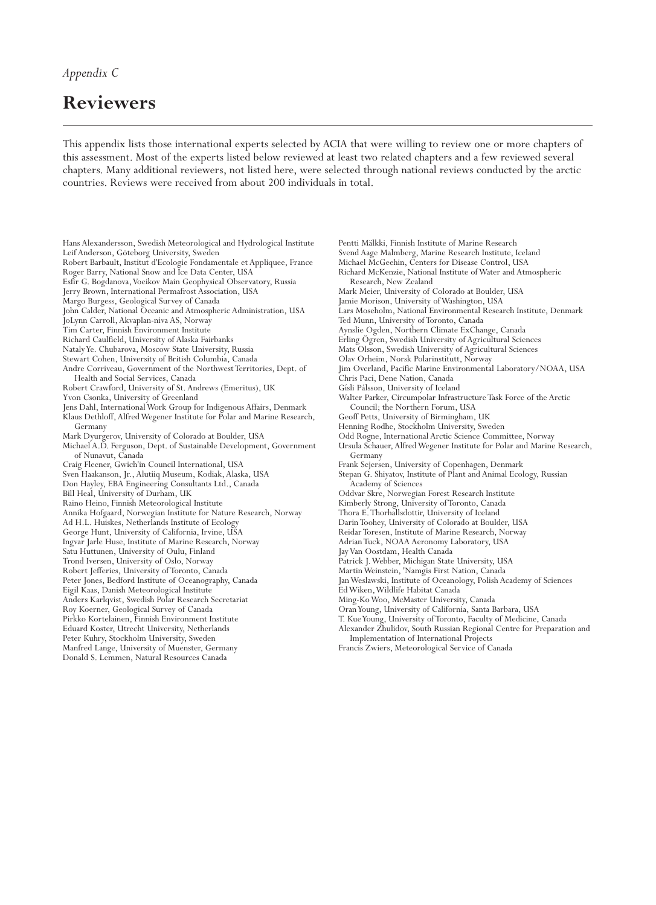## *Appendix C*

# **Reviewers**

This appendix lists those international experts selected by ACIA that were willing to review one or more chapters of this assessment. Most of the experts listed below reviewed at least two related chapters and a few reviewed several chapters. Many additional reviewers, not listed here, were selected through national reviews conducted by the arctic countries. Reviews were received from about 200 individuals in total.

- Hans Alexandersson, Swedish Meteorological and Hydrological Institute Leif Anderson, Göteborg University, Sweden Robert Barbault, Institut d'Ecologie Fondamentale et Appliquee, France Roger Barry, National Snow and Ice Data Center, USA Esfir G. Bogdanova, Voeikov Main Geophysical Observatory, Russia Jerry Brown, International Permafrost Association, USA Margo Burgess, Geological Survey of Canada John Calder, National Oceanic and Atmospheric Administration, USA JoLynn Carroll, Akvaplan-niva AS, Norway Tim Carter, Finnish Environment Institute Richard Caulfield, University of Alaska Fairbanks Nataly Ye. Chubarova, Moscow State University, Russia Stewart Cohen, University of British Columbia, Canada Andre Corriveau, Government of the Northwest Territories, Dept. of Health and Social Services, Canada Robert Crawford, University of St. Andrews (Emeritus), UK Yvon Csonka, University of Greenland Jens Dahl, International Work Group for Indigenous Affairs, Denmark Klaus Dethloff, Alfred Wegener Institute for Polar and Marine Research, Germany Mark Dyurgerov, University of Colorado at Boulder, USA Michael A.D. Ferguson, Dept. of Sustainable Development, Government of Nunavut, Canada Craig Fleener, Gwich'in Council International, USA Sven Haakanson, Jr., Alutiiq Museum, Kodiak, Alaska, USA Don Hayley, EBA Engineering Consultants Ltd., Canada Bill Heal, University of Durham, UK Raino Heino, Finnish Meteorological Institute Annika Hofgaard, Norwegian Institute for Nature Research, Norway Ad H.L. Huiskes, Netherlands Institute of Ecology George Hunt, University of California, Irvine, USA Ingvar Jarle Huse, Institute of Marine Research, Norway Satu Huttunen, University of Oulu, Finland Trond Iversen, University of Oslo, Norway Robert Jefferies, University of Toronto, Canada Peter Jones, Bedford Institute of Oceanography, Canada Eigil Kaas, Danish Meteorological Institute Anders Karlqvist, Swedish Polar Research Secretariat Roy Koerner, Geological Survey of Canada Pirkko Kortelainen, Finnish Environment Institute Eduard Koster, Utrecht University, Netherlands Peter Kuhry, Stockholm University, Sweden Manfred Lange, University of Muenster, Germany Donald S. Lemmen, Natural Resources Canada
- Pentti Mälkki, Finnish Institute of Marine Research
- Svend Aage Malmberg, Marine Research Institute, Iceland
- Michael McGeehin, Centers for Disease Control, USA Richard McKenzie, National Institute of Water and Atmospheric
- Research, New Zealand
- Mark Meier, University of Colorado at Boulder, USA
- Jamie Morison, University of Washington, USA Lars Moseholm, National Environmental Research Institute, Denmark
- 
- Ted Munn, University of Toronto, Canada
- Aynslie Ogden, Northern Climate ExChange, Canada
- Erling Ögren, Swedish University of Agricultural Sciences
- Mats Olsson, Swedish University of Agricultural Sciences
- Olav Orheim, Norsk Polarinstitutt, Norway
- Jim Overland, Pacific Marine Environmental Laboratory/NOAA, USA
- Chris Paci, Dene Nation, Canada

Gísli Pálsson, University of Iceland

- Walter Parker, Circumpolar Infrastructure Task Force of the Arctic Council; the Northern Forum, USA
- Geoff Petts, University of Birmingham, UK
- Henning Rodhe, Stockholm University, Sweden
- Odd Rogne, International Arctic Science Committee, Norway
- Ursula Schauer, Alfred Wegener Institute for Polar and Marine Research,
- Germany
- Frank Sejersen, University of Copenhagen, Denmark
- Stepan G. Shiyatov, Institute of Plant and Animal Ecology, Russian Academy of Sciences
- Oddvar Skre, Norwegian Forest Research Institute
- Kimberly Strong, University of Toronto, Canada
- Thora E.Thorhallsdottir, University of Iceland
- Darin Toohey, University of Colorado at Boulder, USA
- Reidar Toresen, Institute of Marine Research, Norway
- Adrian Tuck, NOAA Aeronomy Laboratory, USA
- Jay Van Oostdam, Health Canada
- Patrick J.Webber, Michigan State University, USA
- 
- Martin Weinstein, 'Namgis First Nation, Canada Jan Weslawski, Institute of Oceanology, Polish Academy of Sciences
- 
- Ed Wiken,Wildlife Habitat Canada
- Ming-KoWoo, McMaster University, Canada
- Oran Young, University of California, Santa Barbara, USA
- T. Kue Young, University of Toronto, Faculty of Medicine, Canada Alexander Zhulidov, South Russian Regional Centre for Preparation and Implementation of International Projects
- Francis Zwiers, Meteorological Service of Canada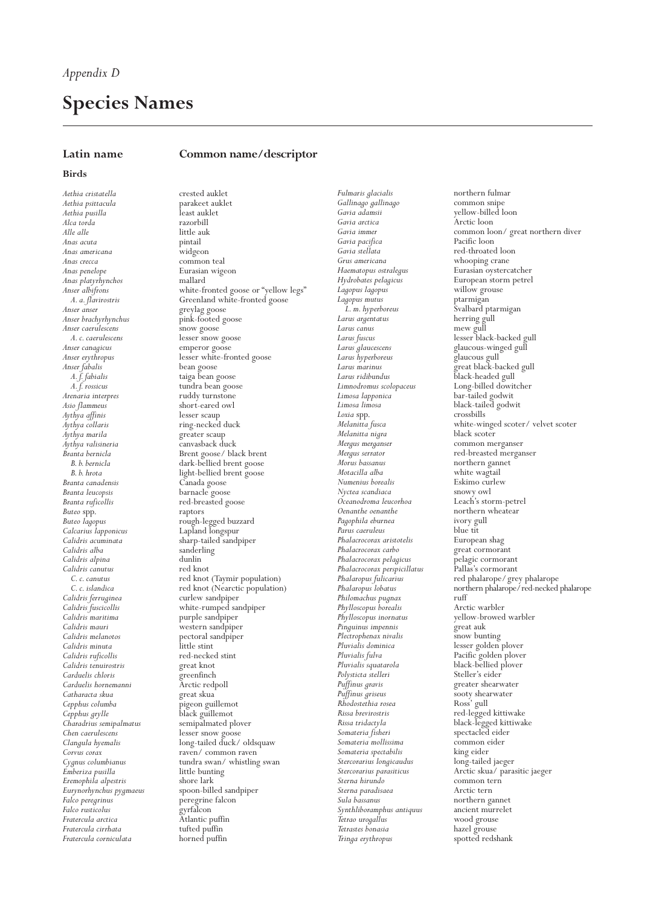# **Species Names**

#### **Birds**

*Aethia cristatella* crested auklet<br> *Aethia psittacula* parakeet auklet *Aethia psittacula* parakeet auklet *Aethia pusilla* least auk<br>*Alca torda* razorbill *Alca torda*<br>*Alle alle Anas acuta* pintail<br>*Anas americana* widgeon *Anas americana*<br>*Anas crecca Anas crecca* common teal<br>*Anas penelope* Eurasian wige *Anas platyrhynchos*<br>*Anser albifrons Anser anser*<br>*Anser brachyrhynchus* pink-footed go *Anser caerulescens*<br>*A. c. caerulescens A. c. caerulescens* lesser snow goose *Anser canagicus* emperor goose<br>*Anser erythropus* lesser white-frc *Anser fabalis*<br>*A. f. fabialis A. f. fabialis* taiga bean goose<br>*A. f. rossicus* tundra bean goos *A. f. rossicus* tundra bean goose<br>*Arenaria interpres* ruddy turnstone *Arenaria interpres* ruddy turnstone<br> *Asio flammeus* short-eared owl *Asio flammeus* short-eared owl *Aythya affinis* lesser scaup *Aythya collaris* ring-necked duck<br>*Aythya marila* greater scaup *Aythya marila* greater scaup<br>*Aythya valisineria* canvasback du *Aythya valisineria* canvasback duck *Branta canadensis*<br>*Branta leucopsis Branta leucopsis* barnacle goose *Buteo spp.*<br>*Buteo lagopus Calcarius lapponicus*<br>*Calidris acuminata Calidris acuminata* sharp-tailed sandpiper *Calidris alpina* dunlin *Calidris canutus*<br>*C. c. canutus Calidris ferruginea* curlew sandpiper *Calidris maritima* purple sandpiper *Calidris mauri* western sandpiper *Calidris minuta* **c**<br> *Calidris ruficollis* **c** and a red-necked stint *Calidris ruficollis* red-necked<br> *Calidris tenuirostris* great knot *Calidris tenuirostris*<br>*Carduelis chloris Carduelis hornemanni* Arctic redpoll Catharacta skua<br>Cepphus columba *Cepphus columba* pigeon guillemot *Cepphus grylle* black guillemot *Charadrius semipalmatus* semipalmated plover *Chen caerulescens* lesser snow goose *Corvus corax* raven/ common raven *Emberiza pusilla* little bunting little bunting little bunting little bunting points and little bunting little bunting points are little bunting material of the state of the state of the state of the state of the state of *Eurynorhynchus pygmaeus*<br>Falco peregrinus *Falco rusticolus*<br>*Fratercula arctica Fratercula cirrhata* tufted puffin *Fratercula corniculata* 

## **Latin name Common name/descriptor**

little auk<br>pintail Eurasian wigeon<br>mallard *Anser albifrons* white-fronted goose or "yellow legs" *A. a. flavirostris* Greenland white-fronted goose  $\overline{p}$ ink-footed goose<br>snow goose lesser white-fronted goose<br>bean goose *Branta bernicla* Brent goose/ black brent *B.b.bernicla* dark-bellied brent goose *B.b. hrota* light-bellied brent goose<br>
anta canadensis Canada goose red-breasted goose<br>raptors rough-legged buzzard<br>Lapland longspur *Calidris alba* sanderling *C. c. canutus* red knot (Taymir population)<br> *C. c. islandica* red knot (Nearctic population) *C. c. islandica* red knot (Nearctic population)<br> *Calidris ferruginea* curlew sandpiper *Calidris fuscicollis* white-rumped sandpiper *Calidris melanotos* pectoral sandpiper *Carduelis chloris* greenfinch *Clangula hyemalis* long-tailed duck/ oldsquaw tundra swan/ whistling swan<br>little bunting *Eremophila alpestris* shore lark *Falco peregrinus* peregrine falcon *Franciscom*<br>*Atlantic puffin*<br>tufted puffin

*Fulmaris glacialis* **northern fulmar**<br> *Gallinago aallinago* **common snipe** *Gallinago gallinago*<br>*Gavia adamsii Gavia adamsii* yellow-billed loon<br>*Gavia arctica* Arctic loon *Gavia arctica* Arctic loon *Gavia pacifica*<br>*Gavia stellata Gavia stellata* red-throated loon *Grus americana* whooping crane *Haematopus ostralegus* Eurasian oystercatcher *Lagopus lagopus* willow grouse willow grouse willow grouse will be a series of the series of the series of the series of the series of the series of the series of the series of the series of the series of the series of th *Lagopus mutus*<br>L. m. hyperboreus Larus argentatus<br>Larus canus *Larus canus* mew gull *Larus fuscus* lesser black-backed gull *Larus glaucescens* glaucous-winged gull *Larus hyperboreus*<br>Larus marinus *Larus marinus* great black-backed gull *Limnodromus scolopaceus*<br>*Limosa lapponica Limosa lapponica* bar-tailed godwit *-*<br>*Loxia spp.<br>Melanitta fusca Melanitta nigra*<br>*Mergus merganser Mergus merganser* common merganser *Mergus serrator* red-breasted merganser<br> *Morus bassanus* roothern gannet *Morus bassanus* northern gannet *Motacilla alba* white wagtail<br> *Numenius horealis* Eskimo curley *Nyctea scandiaca* snowy owl  $O$ ceanodroma leucorhoa<br>Oenanthe oenanthe *Pagophila eburnea* ivory guns caeruleus **blue** tit *Parus caeruleus* blue tit<br> *Phalacrocorax aristotelis* European shag *Phalacrocorax aristotelis*<br>*Phalacrocorax carbo* Phalacrocorax pelagicus<br>
Phalacrocorax perspicillatus<br>
Pallas's cormorant *Phalacrocorax perspicillatus*<br>Phalaropus fulicarius *Philomachus pugnax* ruff *Phylloscopus borealis* Arctic warbler *Phylloscopus inornatus* yellow-browed yellow-brower yellow-brower yellow-brower was a vertex of the vertex vertex of the vertex vertex  $\frac{1}{2}$  yellow-brower was a vertex vertex vertex vertex vertex vertex vertex vertex *Pinguinus impennis* great auk *Plectrophenax nivalis*<br>*Pluvialis dominica Pluvialis dominica* lesser golden plover *Pluvialis fulva* Pacific golden plover *Polysticta stelleri*<br>Puffinus gravis *Puffinus gravis* greater shearwater<br> *Puffinus griseus* sooty shearwater *Rhodostethia rosea*<br>*Rissa brevirostris Rissa brevirostris* red-legged kittiwake *Rissa tridactyla* black-legged kittiwake *Somateria fisheri* spectacled eider *Somateria mollissima* common e<br> *Somateria spectabilis* king eider *Somateria spectabilis s*<br>*Stercorarius longicaudus*<br>*Stercorarius parasiticus Sterna paradisaea*<br>*Sula bassanus Synthliboramphus antiquus* ancient murreletion *and ancient* murreletion *and ancient* murreletion *and ancient* murreletion *and ancient* murreletion *and ancient* murreletion *and ancient* murreletion *and ancient* murr *Tetrao urogallus* wood grouse *Tetrastes bonasia<br>Tringa erythropus* 

common loon/ great northern diver<br>Pacific loon European storm petrel<br>willow grouse *L. m. hyperboreus* Svalbard ptarmigan black-headed gull<br>Long-billed dowitcher black-tailed godwit<br>crossbills white-winged scoter/ velvet scoter<br>black scoter Eskimo curlew<br>snowy owl northern wheatear<br>ivory gull great cormorant<br>pelagic cormorant *Phalaropus fulicarius* red phalarope/grey phalarope<br> *Phalaropus lobatus* northern phalarope/red-necked *Phalaropus lobatus* northern phalarope/red-necked phalarope Pluck-bellied plover<br>Steller's eider *p*<br>Ross' gull<br>Ross' gull *Stercorarius parasiticus* Arctic skua/ parasitic jaeger **Common tern**<br>Arctic tern *Sula bassanus* northern gannet *Tringa erythropus* spotted redshank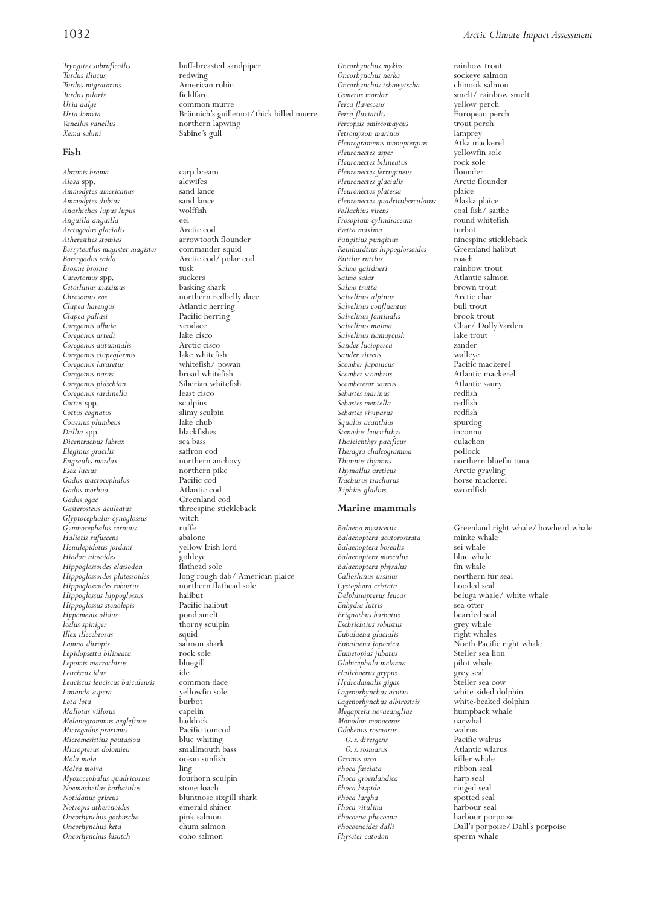*Turdus iliacus* redwing *Turdus migratorius* American<br>*Turdus pilaris* fieldfare Turdus pilaris<br>Uria aalge *Uria aalge* common murre *Vanellus vanellus* northern lapwing

#### **Fish**

*Abramis brama* carp bream<br>*Alosa* spp. alewifes *Alosa* spp. alewifes<br> *Ammodytes* americanus sand lance *Ammodytes americanus* sand lance<br>*Ammodytes dubius* sand lance *Ammodytes dubius* sand lane<br>*Anarhichas lupus lupus* wolffish *Anarhichas lupus lupus* wolffinish wolffinish work work and well as well as a set of the set of the set of the set of the set of the set of the set of the set of the set of the set of the set of the set of the set of the *Anguilla anguilla* eel<br>*Arctogadus glacialis* Arctic cod *Arctogadus glacialis*<br>*Atheresthes stomias Berryteuthis magister magister*<br>Boreogadus saida *Brosme brosme* tusk *Catostomus spp.*<br>*Cetorhinus maximus Cetorhinus maximus* basking shark *Chrosomus eos* northern redbelly dace *Clupea harengus* Atlantic herring *Coregonus albula* vendace *Coregonus artedi* lake cisco *Coregonus autumnalis* Arctic cisco Coregonus clupeaformis<br>Coregonus lavaretus *Coregonus nasus* broad whitefish *Coregonus pidschian*<br>C*oregonus sardinella* least cisco *Coregonus sardinella* least cise<br> *Cottus* spp. sculpins *Cottus* spp. sculpins *Cottus cognatus* slimy scul<br> *Couesius plumbeus* lake chub *Couesius plumbeus* lake chub *Dallia* spp. blackfishes *Dicentrachus labrax* sea bass *Eleginus gracilis* saffron cod *Engraulis mordax* northern anchovy *Gadus macrocephalus* Pacific cod *Gadus morhua*<br>*Gadus ogac Gadus ogac* Greenland cod *Glyptocephalus cynoglossus* witch *Gymnocephalus cernuus* ruffe *Haliotis rufuscens* abalone *Hemilepidotus jordani* yellow Irish l<br>*Hiodon alosoides* goldeye<br>*Hippoglossoides elassodon* flathead sole Hiodon alosoides *Hippoglossoides elassodon*<br>Hippoglossoides platessoides *Hippoglossoides robustus* northern flathead sole is to the flathead sole of the Hippoglossics of the Hippoglossics of the Hippoglossics of the Hippoglossics of the Hippoglossics of the Hippoglossics of the Hippoglossics o *Hippoglossus hippoglossus* halibut *Hippoglossus stenolepis* Pacific halib<br> *Hypomesus olidus* pond smelt *Hypomesus olidus* pond smelt<br> *Icelus spiniger* thorny sculpin *Icelus spiniger* thorn<br> *Illex illecebrosus* squid *Illex illecebrosus* squid<br> *Iamna ditropis* salmon shark *Lamna ditropis* salmon sh<br>*Lepidopsetta bilineata* rock sole *Lepidopsetta bilineata* rock sol<br>*Lepomis macrochirus* bluegill *Lepomis macrochirus* blu<br>*Leuciscus idus* ide *Leuciscus idus* ide *Leuciscus leuciscus baicalensis* common dace *Limanda aspera* yellow!<br>*Lota lota* burbot *Lota lota* burbot *Mallotus villosus* capelin *Melanogrammus aeglefinus* haddock *Microgadus proximus* Pacific tomcod *Micromesistius poutassou* blue whiting *Micropterus dolomieu* smallmouth bass *Molva molva* ling *Myoxocephalus quadricornis* fourhorn sculpin *Noemacheilus barbatulus* stone loach *Notidanus griseus* bluntnose sixgill shark *Notropis atherinoides* emerald shin<br>*Oncorhynchus gorbuscha* pink salmon *Oncorhynchus gorbuscha* pink salmon *Oncorhynchus keta* chum salmon  $Oncorhynchus$  kisutch

*Tryngites subruficollis* buff-breasted sandpiper *Uria lomvia* Brünnich's guillemot/thick billed murre Vanellus vanellus Sabine's gull

> *Atheresthes stomias* arrowtooth flounder *Boreogadus saida* Arctic cod/ polar cod Pacific herring<sup>7</sup><br>vendace whitefish/ powan<br>broad whitefish *Esox lucius* northern pike threespine stickleback<br>witch *Hippogrough dab/ American plaice*<br>northern flathead sole *Mola mola* ocean sunfish

*Oncorhynchus nerka* sockeye salmon *Oncorhynchus tshawytscha*<br>*Osmerus mordax Osmerus mordax* smelt/ rainbow smelt<br> *Perca flavescens* yellow perch *Perca flavescens* yellow perch Percopsis omiscomaycus trout per *Petromyzon marinus* lamprey *Pleurogrammus monoptergius* Atka mackerel *Pleuronectes asper* yellowfin sole *Pleuronectes bilineatus* rock sole<br> *Pleuronectes ferrugineus* flounder *Pleuronectes ferrugineus* flounder *Pleuronectes glacialis* Arctic *Pleuronectes platessa* plaice *Pleuronectes platessa* plaice *Pleuronectes quadrituberculatus*<br>*Pollachius virens Prosopium cylindraceum* round<br>*Psetta maxima* turbot *Psetta maxima*<br>Pungitius pungitius Reinhardtius hippoglossoides Green<br>Rutilus rutilus halibut halibut halibut halibut halibut halibut halibut halibut halibut halibut halibut halib<br>malibut halibut halibut halibut halibut halibut halibut halibut halibut halib *Rutilus rutilus* roach Salmo gairdneri<br>Salmo salar *Salmo salar* **Atlantic salmon**<br>*Salmo trutta* **brown** trout *Salvelinus alpinus* Arctic char *Salvelinus confluentus* bull trout *Salvelinus fontinalis<br>Salvelinus malma Salvelinus namaycush* lake trout *Sander lucioperca* zander *Sander vitreus* walleye *Scomber japonicus*<br>*Scomber scombrus Scomberesox saurus* Atlantic Sebastes marinus redfish *Sebastes marinus* redfish *Sebastes mentella* redfish *Sebastes viviparus* redfish *Squalus acanthias* spurdog *Stenodus leucichthys* inconnu<br> *Thaleichthys pacificus* eulachon *Thaleichthys pacificus* eulachon *Theragra chalcogramma* pollock *Thunnus thynnus* northern bluefin tuna *Thymallus arcticus* Arctic grayling *Trachurus trachurus* horse mackerels horse macker<br>*Xiphias gladius* swordfish  $X$ *iphias gladius* **Marine mammals**

*Balaenoptera acutorostrata* minke whale *Balaenoptera borealis* sei whale<br>*Balaenoptera musculus* blue whale *Balaenoptera musculus* blue whale *Balaenoptera physalus* fin whale *Callorhinus ursinus* northern fur sealing the sealing of the sealing sealing to the sealing the sealing sealing to the sealing sealing to the sealing sealing to the sealing sealing sealing sealing sealing sealing sealing Cystophora cristata<br>Delphinapterus leucas *Enhydra lutris* sea otter *Erignathus barbatus* bearded seal *Eschrichtius robustus* grey whale Eubalaena glacialis<br>Eubalaena japonica *Eumetopias jubatus* Steller sea l<br>*Globicephala melaena* pilot whale *Globicephala melaena* pilot wha<br>*Halichoerus grypus* grey seal *Halichoerus grypus* grey seal<br>*Hydrodamalis gigas* Steller sea cow *Hydrodamalis gigas* Steller sea cow *Lagenorhynchus acutus* white-sided dolphin *Lagenorhynchus albirostris* white-beaked dol<br> *Megaptera novaeangliae* humpback whale *Megaptera novaeangliae* humpback humpback humpback whale<br>Monodon monoceros harwhal *Monodon monoceros* narwhal *Odobenus rosmarus* walrus *O. r. divergens*<br>*O. r. rosmarus O. r. rosmarus* Atlantic wlarus<br>*Orcinus orca* **Atlantic whale** *Phoca fasciata* ribbon sea<br>*Phoca groenlandica* harp seal *Phoca groenlandica* harp seal *Phoca hispida* ringed seal *Phoca largha* spotted seal *Phoca vitulina*<br>*Phocoena phocoena Phocoena phocoena* harbour porpoise *Physeter catodon* 

*Oncorhynchus mykiss* rainbow trout European perch<br>trout perch *Pollachius virens* coal fish/ saithe ninespine stickleback<br>Greenland halibut **brown trout**<br>Arctic char Char/ Dolly Varden<br>lake trout *Scomber scombrus* Atlantic mackerel

*Balaena mysticetus* Greenland right whale/ bowhead whale beluga whale/ white whale North Pacific right whale<br>Steller sea lion killer whale<br>ribbon seal *Phocoenoides dalli* Dall's porpoise/ Dahl's porpoise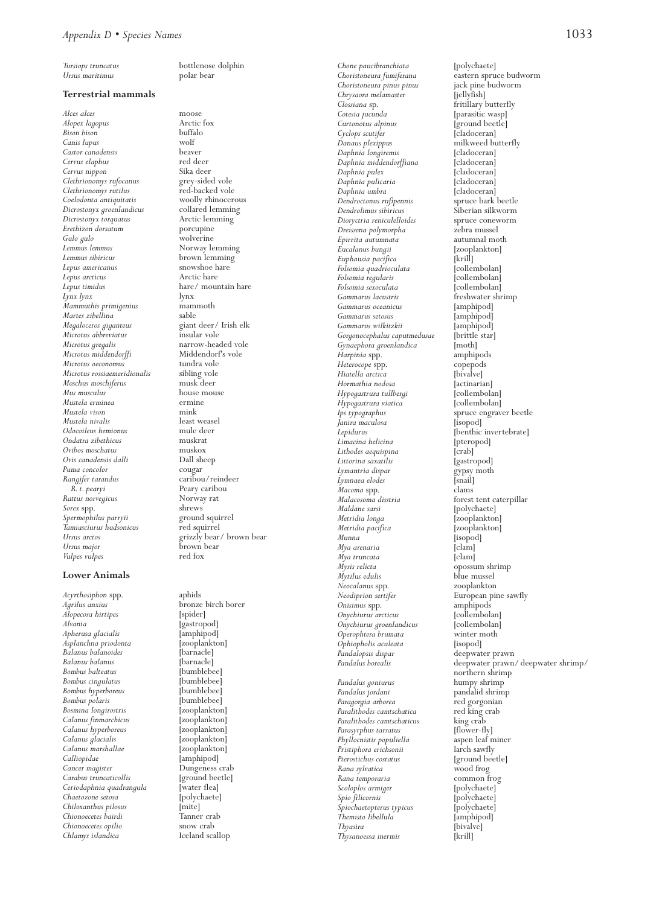*Ursus maritimus* 

### **Terrestrial mammals**

*Alces alces* moose moose<br>*Alopex lagopus* Arctic fox *Alopex lagopus* Arctic foxists and Arctic foxis and Arctic foxis and Arctic foxis and Arctic foxis and Arctic foxis and Arctic foxis and Arctic foxis and Arctic foxis and Arctic foxis and Arctic foxis and Arctic foxis and *Bison bison* buffalo *Canis lupus* wolf *Castor canadensis* beaver *Cervus elaphus* red deer *Cervus nippon* Sika deer *Clethrionomys rufocanus* grey-sided vole *Clethrionomys rutilus* red-backed vole *Coelodonta antiquitatis* woolly rhinocerous *Dicrostonyx groenlandicus* collared lemming *Dicrostonyx torquatus* Arctic lem<br> *Erethizon dorsatum* porcupine *Erethizon dorsatum* porcupine *Gulo gulo*<br>Lemmus lemmus *Lemmus sibiricus* brown lemming<br> *Lepus americanus* snowshoe hare *Lepus americanus* snowshoe h<br>*Lepus arcticus* Arctic hare *Lepus arcticus*<br>*Lepus timidus Lynx lynx* lynx *Mammuthis primigenius* mam<br> *Martes zibellina* sable Martes zibellina<br>Megaloceros giganteus *Microtus abbreviatus*<br>*Microtus gregalis Microtus middendorffi* Middendorf Microtus oeconomus tundra vole *Microtus oeconomus* tundra vole *Microtus rossiaemeridionalis* sibling vole<br> *Moschus moschiferus* musk deer *Moschus moschiferus*<br>Mus musculus *Mustela erminea* ermine *Mustela vison<br>Mustela nivalis Odocoileus hemionus* mule deer *Ondatra zibethicus* muskrat *Ovibos moschatus* muskox *Ovis canadensis dalli* Dall sh<br> *Puma concolor* cougar *Puma concolor*<br>Rangifer tarandus *Rangifer tarandus* caribou/reindeer *Rattus norvegicus* Norwa<br> *Sorex spp.* shrews *Sorex* spp. shrews *Spermophilus parryii* ground squirrel *Tamiasciurus hudsonicus*<br>Ursus arctos *Ursus arctos* grizzly bear/ brown bear *Ursus major* brown bear *Vulpes vulpes* red fox

#### **Lower Animals**

*Acyrthosiphon* spp. aphids *Alopecosa hirtipes*<br>*Alvania Apherusa glacialis* [amphipod]<br>*Asplanchna priodonta* [zooplankton] *Asplanchna priodonta* [zooplankt<br>*Balanus balanoides* [barnacle] *Balanus balanoides* [barnacle] *Balanus balanus* [barnacle] *Bombus balteatus* [bumblebee] *Bombus cingulatus* [bumblebee] *Bombus hyperboreus* [bumblebee] *Bombus polaris* [bumblebee] *Bosmina longirostris* [zooplankton] *Calanus finmarchicus* [zooplankton] *Calanus hyperboreus*<br>*Calanus glacialis*  $Calanus$  marshallae<br>Calliopidae Calanus marshallae **(Amphipodiae 1996)**<br>Calliopidae [amphipod]<br>Cancer magister **[amphipodiae 1]**<br>Cancer magister **complement** Dungeness cra *Carabus truncaticollis* [ground beetle]<br>Ceriodaphnia quadrangula [water flea] *Ceriodaphnia quadrangula* [water flea]  $$ *Chiloxanthus pilosus* [mite] *Chionoecetes bairdi* Tanner crab *Chionoecetes opilio* snow crab *Chlamys islandica* 

*Tursiops truncatus* bottlenose dolphin

Norway lemming<br>brown lemming hare/ mountain hare<br>lynx *Megaloceros giganteus* giant deer/ Irish elk *Microtus gregalis* narrow-headed vole *house* mouse<br>ermine *Mustela nivalis* least weasel Peary caribou<br>Norway rat

*bronze birch borer*<br>[spider] *Alvania* [gastropod] *Calanus glacialis* [zooplankton] **Dungeness crab**<br>[ground beetle]

*Choristoneura pinus pinus* jack pine<br>*Chrysaora melamaster* [jellyfish] *Chrysaora melamaster*<br>*Clossiana sp. Clossiana* sp. fritillary butterfly *Curtonotus alpinus* [ground beet<br> *Cyclops scutifer* [cladoceran] *Cyclops scutifer*<br>Danaus plexippus *Daphnia longiremis* [cladoceran] *Daphnia middendorffiana* [cladoceran] *Daphnia pulex* [cladoceran] *Daphnia pulicaria* [cladoceran] *Daphnia umbra* [cladoceran] *Dendroctonus rufipennis* spruce bark beetle *Dendrolimus sibiricus* Siberian silkworm *Dioryctria reniculelloides* spruce coneworm *Dreissena polymorpha*<br>Epirrita autumnata *Eucalanus bungii* [zooplankton] *Euphausia pacifica* [krill] *Folsomia quadrioculata* [collembolan] *Folsomia regularis* [collembolan] *Folsomia sexoculata*<br>Gammarus lacustris *Gammarus oceanicus* [amphipod] *Gammarus setosus* [amphipod]  $G$ ammarus wilkitzkii *Gorgonocephalus caputmedusae* [brittle *Gynaephora groenlandica* [moth] *Gynaephora groenlandica* [moth] *Harpinia* spp. **amphipod**<br>*Heterocope* spp. **blue** copepods *Heterocope* spp. copepods *Hiatella arctica* [bivalve] *Hormathia nodosa* [actinarian] *Hypogastrura tullbergi* [collembolan] *Hypogastrura viatica<br>lps typographus Janira maculosa*<br>Lepidurus *Limacina helicina* [pteropod] *Lithodes aequispina* [crab] *Littorina saxatilis* [gastropod] *Lymantria dispar* gypsy<br> *Lymnaea elodes* [snail]  $Lymnaea$  elodes *Macoma* spp. clams *Malacosoma disstria* forest tent caterpillar *Maldane sarsi* [polychaete] *Metridia pacifica*<br>Munna *Mya arenaria* [clam]<br> *Mya truncata* [clam] *Mya truncata*<br>*Mysis relicta Mytilus edulis* blue mussel *Neocalanus s*pp.<br>*Neodiprion sertifer Onisimus* spp. amphipods *Onychiurus arcticus* [collembolan] *Onychiurus groenlandicus* [collembolan] *Operophtera brumata* winter n<br> *Ophiopholis aculeata* [isopod] *Ophiopholis aculeata<br>Pandalopsis dispar Pandalopsis dispar* deepwater prawn

Pandalus goniurus<br>Pandalus jordani *Paragorgia arborea* red gorgonian *Paralithodes camtschatica* red king crab *Paralithodes camtschaticus* king crab *Parasyrphus tarsatus* [flower-fly] *Phyllocnistis populiella* aspen leaf m<br> *Pristiphora erichsonii* larch sawfly *Pristiphora erichsonii* larch sawfly *Pterostichus costatus* [ground be<br>
Rana sylvatica wood frog *Rana sylvatica* wood frog *Rana temporaria* common fro<br> *Scoloplos armiger* [polychaete] *Scoloplos armiger* [polychaete] *Spio filicornis* [polychaete] *Spiochaetopterus typicus* [polychaete] *Themisto libellula*<br>Thyasira  $This$ *sanoessa inermis* 

*Chone paucibranchiata* [polychaete] *Choristoneura fumiferana* eastern spruce budworm *Contract Exercise is a function*<br>[ground beetle] milkweed butterfly<br>[cladoceran] *Epirrita autumnata* autumnal moth freshwater shrimp<br>[amphipod] *Ips typographus* spruce engraver beetle [benthic invertebrate] *Metridia longa* [zooplankton] [isopod]<br>[clam] *Mysis relicta* opossum shrimp European pine sawfly<br>amphipods *Pandalus borealis* deepwater prawn/ deepwater shrimp/ northern shrimp humpy shrimp<br>pandalid shrimp<br>red gorgonian [bivalve]<br>[krill]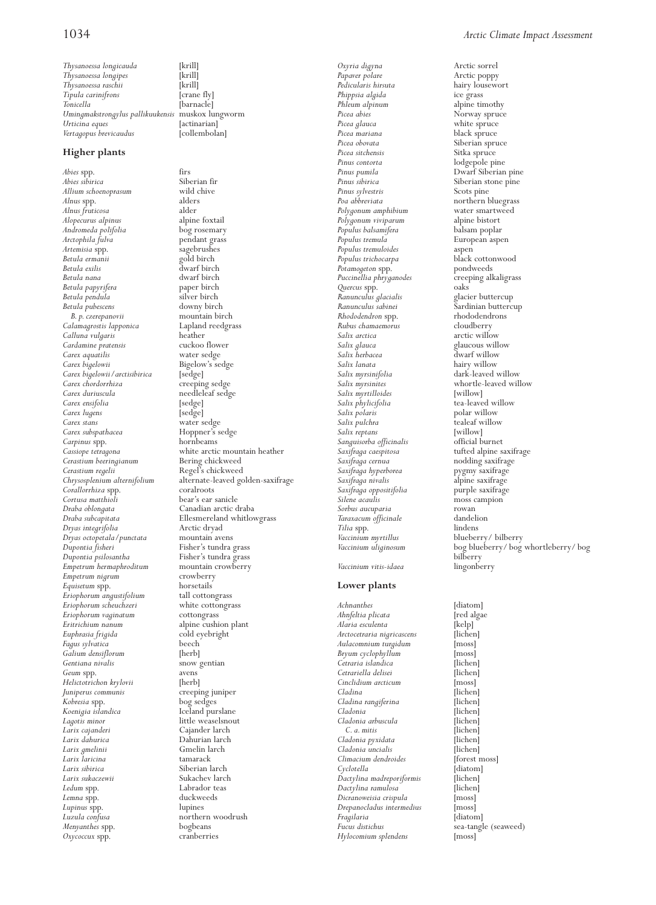*Thysanoessa longicauda* [krill] *Thysanoessa longipes* [krill] *Thysanoessa raschii* [krill] Tipula carinifrons<br>Tonicella *Umingmakstrongylus pallikuukensis* muskox lungworm *Urticina eques* [actinarian]  $\vec{V}$ ertagopus brevicaudus

#### **Higher plants**

*Abies spp.* firs firs<br>*Abies sibirica* Sibo *Allium schoenoprasum* wild c<br>*Alnus* spp. alders *Alnus* spp. alder<br>*Alnus fruticosa* alder *Alnus fruticosa* alder *Alopecurus alpinus* alpine foxtail *Andromeda polifolia* bog rosemary *Arctophila fulva* pendant grass *Artemisia* spp. sagebrushes *Betula ermanii*<br>Betula exilis *Betula exilis* dwarf birch *Betula papyrifera* paper birch *Betula pendula* silver birch<br>*Betula pubescens* downy birch *Betula pubescens* downy birch *B. p. czerepanovii* mountain birch *Calamagrostis lapponica* Lapland<br>*Calluna vulgaris* heather *Calluna vulgaris* heather *Cardamine pratensis* cuckoo flower *Carex aquatilis*<br>*Carex bigelowii Carex bigelowii/arctisibirica* [sedge] *Carex chordorrhiza* creeping sedge *Carex chordorrhiza*<br> *Carex duriuscula*<br> *Carex ensifolia*<br> *Carex ensifolia*<br> *Carex ensifolia*<br> *Carex ensifolia Carex ensifolia* [sedge] *Carex lugens*<br>*Carex stans Carex stans* water sedge *Carex subspathacea* Hoppner's sedge *Carpinus* spp. hornbeams Cerastium beeringianum<br>Cerastium regelii *Cerastium regelii* Regel's chickweed *Corallorrhiza* spp.<br>*Cortusa matthioli Cortusa matthioli* bear's ear sanicle *Draba oblongata* Canadian arctic draba *Dryas integrifolia* Arctic dryad *Dryas octopetala/punctata* mountain avens *Dupontia fisheri* Fisher's tundra grass *Dupontia psilosantha* Fisher's tundra grass *Empetrum hermaphroditum* mountain crowberry **Empetrum nigrum** crowberry<br> *Equisetum* spp. horsetails *Equisetum* spp. horsetails *Eriophorum angustifolium* tall cottongrass *Eriophorum scheuchzeri* white cottongrass *Eriophorum vaginatum<br>Eritrichium nanum Euphrasia frigida* cold e<br>*Fagus sylvatica* beech *Fagus sylvatica* beech  $Galium$  densiflorum<br>Gentiana nivalis *Geum* spp. avens<br>*Helictotrichon krylovii* [herb] *Helictotrichon krylovii* [herb] *Juniperus communis* creeping juniperus communis creeping juniperus creeping juniperus creeping juniperus creeping juniperus creeping juniperus creeping juniperus creeping juniperus creeping juniperus creeping juniperus cr *Kobresia* spp. bog sedges *Koenigia islandica*<br>Lagotis minor *Larix cajanderi*<br>*Larix dahurica Larix gmelinii* Gmelin larch *Larix laricina*<br>*Larix sibirica Larix sukaczewii* Sukachev larch *Ledum* spp. Labrador teas *Lemna* spp. duckweeds and duckweeds and duckweeds are duckweeds as a duckweed of the duckweeds are duckweeds as  $\frac{1}{2}$  duckweeds are duckweeds as  $\frac{1}{2}$  duckweeds are duckweeds as  $\frac{1}{2}$  duckweeds and duckweeds a Lupinus spp.<br>Luzula confusa *Menyanthes* spp. bogbeans<br> *Oxycoccux* spp. cranberries  $Oxycoccux$  spp.

[barnacle]<br>muskox lungworm

*Abies sibirica* Siberian fir *Betula nana* dwarf birch Bigelow's sedge<br>[sedge] white arctic mountain heather<br>Bering chickweed alternate-leaved golden-saxifrage<br>coralroots Ellesmereland whitlowgrass<br>Arctic dryad alpine cushion plant<br>cold eyebright *Gentiana nivalis* snow gentian little weaselsnout<br>Cajander larch *Larix dahurica* Dahurian larch *Larix sibirica* Siberian larch  $\overline{h}$  northern woodrush<br>bogbeans

*Oxyria digyna* Arctic sorrel *Papaver polare* Arctic poppy<br> *Pedicularis hirsuta* hairy lousewe *Phippsia algida* ice grass *Phleum alpinum*<br>*Picea abies Picea abies* **Norway spruce**<br>*Picea glauca* **https://white** spruce *Picea glauca* white spruce<br>*Picea mariana* black spruce *Picea mariana* black spruce *Picea obovata* Siberian spruce<br>*Picea sitchensis* Sitka spruce *Picea sitchensis* Sitka spruce *Pinus contorta* lodgepole pine *Pinus pumila* Dwarf Siberian pine *Pinus sibirica* Siberian stone pine<br> *Pinus sylvestris* Scots pine *Pinus sylvestris*<br>Poa abbreviata *Polygonum amphibium* water smartweed *Polygonum viviparum* alpine bistort *Populus balsamifera<br>Populus tremula Populus tremuloides*<br>*Populus trichocarpa Potamogeton* spp. pondweeds *Puccinellia phryganodes* creep<br>*Quercus* spp. also *Quercus* spp. oaks *Ranunculus glacialis*<br>*Ranunculus sabinei Rhododendron* spp. rhododendrons *Rubus chamaemorus*<br>*Salix arctica Salix arctica* arctic willow *Salix herbacea*<br>*Salix lanata Salix lanata* hairy willow *Salix myrsinifolia* dark-leaved willow  $Salix$  myrtilloides<br>Salix phylicifolia *Salix phylicifolia* tea-leaved willow *Salix polaris* polar willow *Salix reptans* [willow] Sanguisorba officinalis<br>Saxifraga caespitosa *Saxifraga caespitosa* tufted alpine saxifrage Saxifraga hyperborea<br>Saxifraga nivalis *Saxifraga oppositifolia*<br>Silene acaulis *Sorbus aucuparia* rowan *Taraxacum officinale* dandeli<br> *Tilia* spp. lindens Tilia spp.<br>*Vaccinium myrtillus Vaccinium myrtillus* blueberry/ bilberry Vaccinium vitis-idaea **Lower plants**  $Cinclidium arcticum$ <br>Cladina

hairy lousewort<br>ice grass *northern bluegrass*<br>water smartweed European aspen<br>aspen black cottonwood<br>pondweeds  $\bar{S}$ ardinian buttercup<br>rhododendrons glaucous willow<br>dwarf willow whortle-leaved willow<br>[willow] *f*ealeaf willow<br>[willow] *Saxifraga cernua* nodding saxifrage Propaga nivelasting<br>pygmy saxifrage<br>alpine saxifrage<br>purple saxifrage moss campion<br>rowan *Vaccinium uliginosum* bog blueberry/ bog whortleberry/ bog bilberry<br>lingonberry

*Achnanthes* [diatom]<br>*Ahnfeltia plicata* [red algae *Ahnfeltia plicata* [red alg<br>*Alaria esculenta* [kelp] *Alaria esculenta* [kelp] *Arctocetraria nigricascens* [lichen] *Aulacomnium turgidum* [moss] *Bryum cyclophyllum* [moss] *Cetraria islandica* [lichen] *Cetrariella delisei* [lichen] *Cladina rangiferina* [lichen] *Cladonia* [lichen] *Cladonia arbuscula* [lichen] *C.a. mitis* [lichen] *Cladonia pyxidata* [lichen] *Cladonia uncialis* [lichen] *Climacium dendroides* [forest m<br/> *Cyclotella* [diatom] *Cyclotella* [diatom] *Dactylina madreporiformis* [lichen] *Dactylina ramulosa* [lichen] *Dicranoweisia crispula* [moss] *Drepanocladus intermedius* [moss] *Fragilaria*<br>Fucus distichus  $Hylocomium splendens$ 

*Cladina* [lichen] *fucus funcus disting a* sea-tangle (seaweed)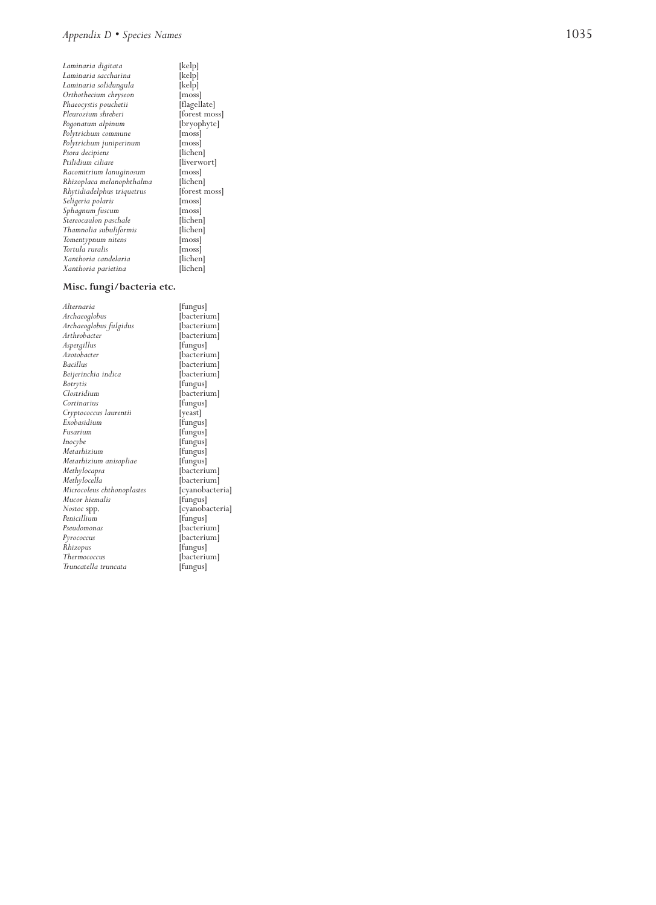| Laminaria digitata         | [kelp]        |
|----------------------------|---------------|
| Laminaria saccharina       | [kelp]        |
| Laminaria solidungula      | [kelp]        |
| Orthothecium chryseon      | [moss]        |
| Phaeocystis pouchetii      | [flagellate]  |
| Pleurozium shreberi        | [forest moss] |
| Pogonatum alpinum          | [bryophyte]   |
| Polytrichum commune        | [moss]        |
| Polytrichum juniperinum    | [moss]        |
| Psora decipiens            | [lichen]      |
| Ptilidium ciliare          | [liverwort]   |
| Racomitrium lanuginosum    | [moss]        |
| Rhizoplaca melanophthalma  | [lichen]      |
| Rhytidiadelphus triquetrus | [forest moss] |
| Seligeria polaris          | [moss]        |
| Sphagnum fuscum            | [moss]        |
| Stereocaulon paschale      | [lichen]      |
| Thamnolia subuliformis     | [lichen]      |
| Tomentypnum nitens         | [moss]        |
| Tortula ruralis            | [moss]        |
| Xanthoria candelaria       | [lichen]      |
| Xanthoria parietina        | [lichen]      |
|                            |               |

## **Misc. fungi/bacteria etc.**

*Alternaria* [fungus]<br>*Archaeoglobus* [bacterium] *Archaeoglobus* [bacterium] *Archaeoglobus fulgidus* [bacterium] *Arthrobacter* [bacterium] *Arthrobacter*<br> *Aspergillus* [bacterium]<br> *Azotobacter* [bacterium]<br> *Azotobacter* [bacterium] *Azotobacter* [bacterium]<br>*Bacillus* [bacterium]  $Beijerinckia indica$ <br> $Botrytis$ *Botrytis* [fungus] *Clostridium* [bacterium] *Cortinarius* [fungus]  $Cryptococcus Iaurentii$  $Exobasidium$ <br>Fusarium *Fusarium* [fungus] *Inocybe* [fungus] *Metarhizium* [fungus] *Metarhizium anisopliae* [fungus] *Methylocapsa* [bacterium]  $\tilde{M}$ ethylocella *Microcoleus chthonoplastes* [cyanoba<br> *Mucor hiemalis* [fungus] *Mucor hiemalis Nostoc spp.<br>Penicillium<br>Pseudomonas Pseudomonas* [bacterium] *Pyrococcus* [bacterium] *Rhizopus* [fungus]<br> *Thermococcus* [bacterium]  $\begin{tabular}{p{2cm}} \textbf{\textit{Thermococcus}} & \textbf{\textit{[bacteriv)}} \\ \textbf{\textit{Truncatella truncata}} & \textbf{\textit{[fungus]}} \\ \end{tabular}$  $Truncated la$  truncata

[bacterium]<br>[bacterium]  $[cyanobacteria]$ <br>[fungus]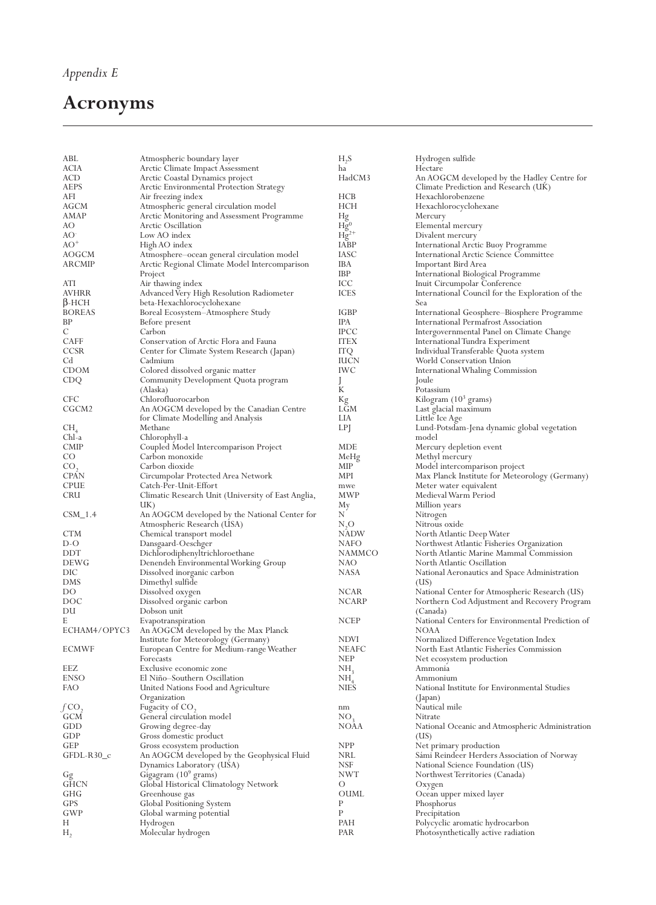# *Appendix E*

# **Acronyms**

| ABL             | Atmospheric boundary layer                         | $H_2S$           | Hydrogen sulfide                                 |
|-----------------|----------------------------------------------------|------------------|--------------------------------------------------|
| ACIA            | Arctic Climate Impact Assessment                   | ha               | Hectare                                          |
| ACD             | Arctic Coastal Dynamics project                    | HadCM3           | An AOGCM developed by the Hadley Centre for      |
| AEPS            | Arctic Environmental Protection Strategy           |                  | Climate Prediction and Research (UK)             |
| AFI             | Air freezing index                                 | <b>HCB</b>       | Hexachlorobenzene                                |
| AGCM            | Atmospheric general circulation model              | HCH              | Hexachlorocyclohexane                            |
| AMAP            | Arctic Monitoring and Assessment Programme         | Hg               | Mercury                                          |
| АO              | Arctic Oscillation                                 | $Hg^0$           | Elemental mercury                                |
| AO <sup>-</sup> | Low AO index                                       | $Hg^{2+}$        | Divalent mercury                                 |
| AO <sup>+</sup> | High AO index                                      | IABP             | International Arctic Buoy Programme              |
| AOGCM           | Atmosphere–ocean general circulation model         | IASC             | International Arctic Science Committee           |
| ARCMIP          | Arctic Regional Climate Model Intercomparison      | IBA              | Important Bird Area                              |
|                 | Project                                            | <b>IBP</b>       | International Biological Programme               |
| ATI             | Air thawing index                                  | ICC              | Inuit Circumpolar Conference                     |
| AVHRR           | Advanced Very High Resolution Radiometer           | <b>ICES</b>      | International Council for the Exploration of the |
| B-HCH           | beta-Hexachlorocyclohexane                         |                  | Sea                                              |
| <b>BOREAS</b>   | Boreal Ecosystem-Atmosphere Study                  | <b>IGBP</b>      | International Geosphere-Biosphere Programme      |
| ΒP              | Before present                                     | IPA              | International Permafrost Association             |
| С               | Carbon                                             | <b>IPCC</b>      | Intergovernmental Panel on Climate Change        |
| CAFF            | Conservation of Arctic Flora and Fauna             | <b>ITEX</b>      | International Tundra Experiment                  |
| <b>CCSR</b>     | Center for Climate System Research (Japan)         | <b>TFQ</b>       | Individual Transferable Quota system             |
| Cd              | Cadmium                                            | <b>IUCN</b>      | World Conservation Union                         |
| CDOM            | Colored dissolved organic matter                   | <b>IWC</b>       | International Whaling Commission                 |
| CDQ             | Community Development Quota program                |                  | Joule                                            |
|                 | (Alaska)                                           | K                | Potassium                                        |
| CFC             | Chlorofluorocarbon                                 |                  | Kilogram $(10^3 \text{ grams})$                  |
| CGCM2           |                                                    | Kg<br><b>LGM</b> |                                                  |
|                 | An AOGCM developed by the Canadian Centre          |                  | Last glacial maximum                             |
|                 | for Climate Modelling and Analysis                 | LIA              | Little Ice Age                                   |
| CH <sub>4</sub> | Methane                                            | <b>LP</b>        | Lund-Potsdam-Jena dynamic global vegetation      |
| Chl-a           | Chlorophyll-a                                      |                  | model                                            |
| <b>CMIP</b>     | Coupled Model Intercomparison Project              | <b>MDE</b>       | Mercury depletion event                          |
| CO              | Carbon monoxide                                    | MeHg             | Methyl mercury                                   |
| CO <sub>2</sub> | Carbon dioxide                                     | MIP              | Model intercomparison project                    |
| <b>CPAN</b>     | Circumpolar Protected Area Network                 | MPI              | Max Planck Institute for Meteorology (Germany)   |
| <b>CPUE</b>     | Catch-Per-Unit-Effort                              | mwe              | Meter water equivalent                           |
| CRU             | Climatic Research Unit (University of East Anglia, | <b>MWP</b>       | Medieval Warm Period                             |
|                 | UK)                                                | My               | Million years                                    |
| $CSM_1.4$       | An AOGCM developed by the National Center for      | Ν                | Nitrogen                                         |
|                 | Atmospheric Research (USA)                         | N, O             | Nitrous oxide                                    |
| CTM             | Chemical transport model                           | <b>NADW</b>      | North Atlantic Deep Water                        |
| D-O             | Dansgaard-Oeschger                                 | NAFO             | Northwest Atlantic Fisheries Organization        |
| DDT             | Dichlorodiphenyltrichloroethane                    | NAMMCO           | North Atlantic Marine Mammal Commission          |
| DEWG            | Denendeh Environmental Working Group               | NAO              | North Atlantic Oscillation                       |
| DIC             | Dissolved inorganic carbon                         | NASA             | National Aeronautics and Space Administration    |
| DMS             | Dimethyl sulfide                                   |                  | (US)                                             |
| DO              | Dissolved oxygen                                   | <b>NCAR</b>      | National Center for Atmospheric Research (US)    |
| DOC             | Dissolved organic carbon                           | <b>NCARP</b>     | Northern Cod Adjustment and Recovery Program     |
| DU              | Dobson unit                                        |                  | (Canada)                                         |
| E               | Evapotranspiration                                 | <b>NCEP</b>      | National Centers for Environmental Prediction of |
| ECHAM4/OPYC3    | An AOGCM developed by the Max Planck               |                  | NOAA                                             |
|                 | Institute for Meteorology (Germany)                | <b>NDVI</b>      | Normalized Difference Vegetation Index           |
| ECMWF           | European Centre for Medium-range Weather           | <b>NEAFC</b>     | North East Atlantic Fisheries Commission         |
|                 | Forecasts                                          | <b>NEP</b>       |                                                  |
| EEZ             | Exclusive economic zone                            |                  | Net ecosystem production                         |
|                 | El Niño-Southern Oscillation                       | NH <sub>3</sub>  | Ammonia<br>Ammonium                              |
| ENSO            |                                                    | $NH_{4}$         |                                                  |
| FAO             | United Nations Food and Agriculture                | <b>NIES</b>      | National Institute for Environmental Studies     |
|                 | Organization                                       |                  | (lapan)                                          |
| $fCO$ ,         | Fugacity of CO <sub>2</sub>                        | nm               | Nautical mile                                    |
| <b>GCM</b>      | General circulation model                          | NO <sub>3</sub>  | Nitrate                                          |
| GDD             | Growing degree-day                                 | NOAA             | National Oceanic and Atmospheric Administration  |
| GDP             | Gross domestic product                             |                  | (US)                                             |
| GEP             | Gross ecosystem production                         | <b>NPP</b>       | Net primary production                           |
| $GFDL-R30_c$    | An AOGCM developed by the Geophysical Fluid        | <b>NRL</b>       | Sámi Reindeer Herders Association of Norway      |
|                 | Dynamics Laboratory (USA)                          | NSF              | National Science Foundation (US)                 |
| $\mathbf{Gg}$   | Gigagram (10 <sup>9</sup> grams)                   | <b>NWT</b>       | Northwest Territories (Canada)                   |
| GHCN            | Global Historical Climatology Network              | $\circ$          | Oxygen                                           |
| GHG             | Greenhouse gas                                     | OUML             | Ocean upper mixed layer                          |
| GPS             | Global Positioning System                          | P                | Phosphorus                                       |
| GWP             | Global warming potential                           | P                | Precipitation                                    |
| Н               | Hydrogen                                           | PAH              | Polycyclic aromatic hydrocarbon                  |
| Н,              | Molecular hydrogen                                 | PAR              | Photosynthetically active radiation              |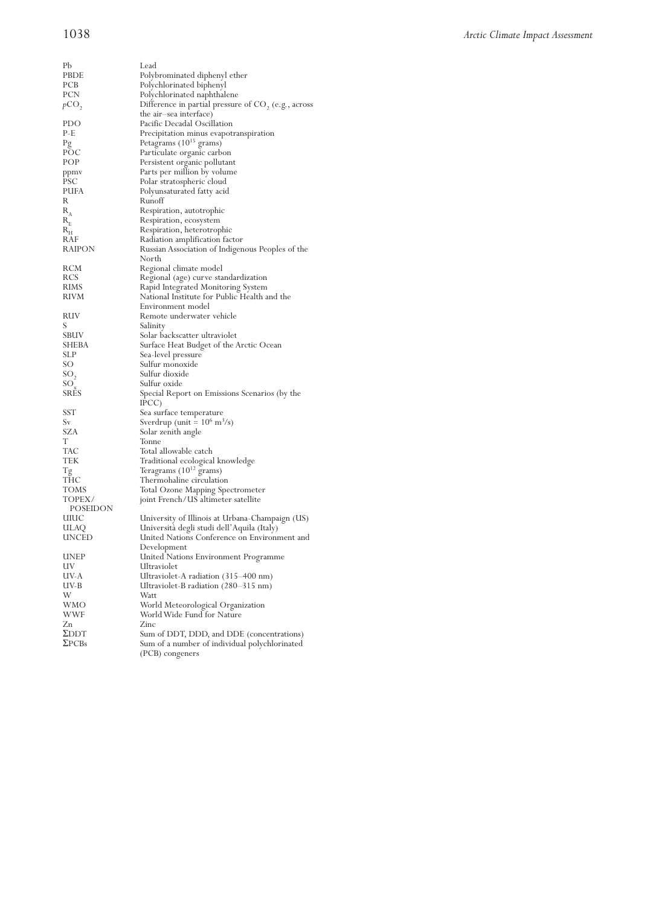| Рb                    | Lead                                                             |
|-----------------------|------------------------------------------------------------------|
| <b>PBDE</b>           | Polybrominated diphenyl ether                                    |
| <b>PCB</b>            | Polychlorinated biphenyl                                         |
| <b>PCN</b>            | Polychlorinated naphthalene                                      |
| $pCO$ ,               | Difference in partial pressure of $CO$ , (e.g., across           |
|                       | the air-sea interface)                                           |
| PDO                   |                                                                  |
|                       | Pacific Decadal Oscillation                                      |
| P-E                   | Precipitation minus evapotranspiration                           |
| Pg                    | Petagrams (10 <sup>15</sup> grams)                               |
| POC                   | Particulate organic carbon                                       |
| POP                   | Persistent organic pollutant                                     |
| ppmv                  | Parts per million by volume                                      |
| PSC                   | Polar stratospheric cloud                                        |
| <b>PUFA</b>           | Polyunsaturated fatty acid                                       |
| R                     | Runoff                                                           |
| $\rm R_A$             | Respiration, autotrophic                                         |
| $R_{E}$               | Respiration, ecosystem                                           |
|                       | Respiration, heterotrophic                                       |
| $R_{\rm _{H}}$<br>RAF |                                                                  |
|                       | Radiation amplification factor                                   |
| RAIPON                | Russian Association of Indigenous Peoples of the                 |
|                       | North                                                            |
| <b>RCM</b>            | Regional climate model                                           |
| <b>RCS</b>            | Regional (age) curve standardization                             |
| RIMS                  | Rapid Integrated Monitoring System                               |
| RIVM                  | National Institute for Public Health and the                     |
|                       | Environment model                                                |
| RUV                   | Remote underwater vehicle                                        |
| S                     | Salinity                                                         |
| SBUV                  | Solar backscatter ultraviolet                                    |
|                       |                                                                  |
| SHEBA                 | Surface Heat Budget of the Arctic Ocean                          |
| SLP                   | Sea-level pressure                                               |
| SО                    | Sulfur monoxide                                                  |
| SO <sub>2</sub>       | Sulfur dioxide                                                   |
| SO.                   | Sulfur oxide                                                     |
| SRES                  | Special Report on Emissions Scenarios (by the                    |
|                       | IPCC)                                                            |
| SST                   | Sea surface temperature                                          |
| Sv                    | Sverdrup (unit = $10^6$ m <sup>3</sup> /s)                       |
| SZA                   | Solar zenith angle                                               |
| T                     | Tonne                                                            |
| TAC                   |                                                                  |
|                       | Total allowable catch                                            |
| TEK                   | Traditional ecological knowledge                                 |
| Tg                    | Teragrams $(10^{12} \text{ grams})$                              |
| THC                   | Thermohaline circulation                                         |
| <b>TOMS</b>           | Total Ozone Mapping Spectrometer                                 |
| TOPEX/                | joint French/US altimeter satellite                              |
| POSEIDON              |                                                                  |
| uiuc                  | University of Illinois at Urbana-Champaign (US)                  |
| ULAQ                  | Università degli studi dell'Aquila (Italy)                       |
| UNCED                 | United Nations Conference on Environment and                     |
|                       | Development                                                      |
| UNEP                  | United Nations Environment Programme                             |
|                       |                                                                  |
| UV                    | Ultraviolet                                                      |
| UV-A                  |                                                                  |
|                       | Ultraviolet-A radiation (315-400 nm)                             |
| $UV-B$                | Ultraviolet-B radiation (280-315 nm)                             |
| W                     | Watt                                                             |
| WMO                   | World Meteorological Organization                                |
| WWF                   | World Wide Fund for Nature                                       |
| Zn                    | Zinc                                                             |
|                       |                                                                  |
| $\Sigma$ dd t         | Sum of DDT, DDD, and DDE (concentrations)                        |
| $\Sigma$ PCBs         | Sum of a number of individual polychlorinated<br>(PCB) congeners |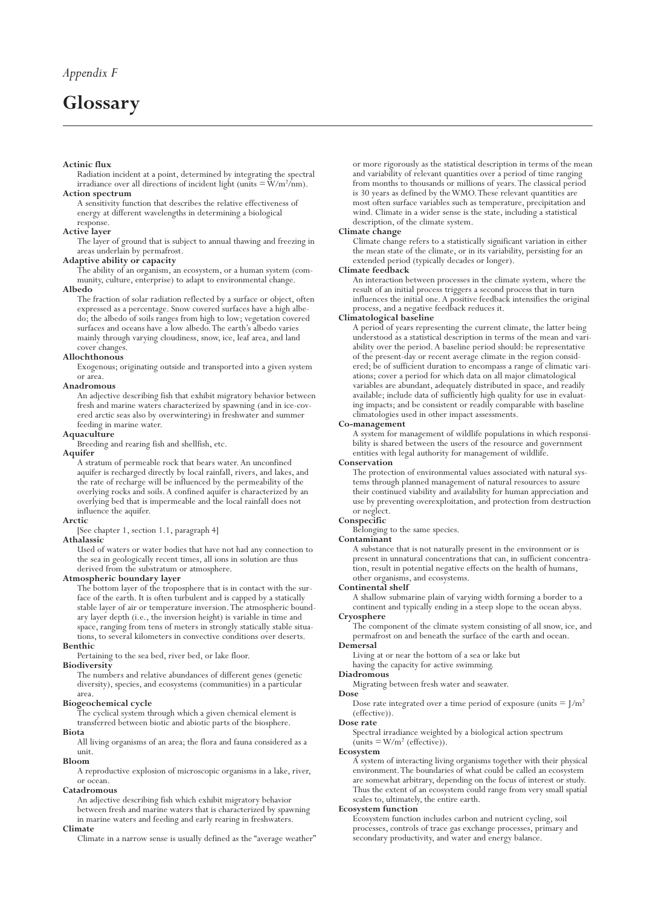# **Glossary**

#### **Actinic flux**

Radiation incident at a point, determined by integrating the spectral irradiance over all directions of incident light (units  $=$  W/m<sup>2</sup>/nm). **Action spectrum**

A sensitivity function that describes the relative effectiveness of energy at different wavelengths in determining a biological response.

#### **Active layer**

The layer of ground that is subject to annual thawing and freezing in areas underlain by permafrost.

#### **Adaptive ability or capacity**

The ability of an organism, an ecosystem, or a human system (community, culture, enterprise) to adapt to environmental change.

#### **Albedo**

The fraction of solar radiation reflected by a surface or object, often expressed as a percentage. Snow covered surfaces have a high albedo; the albedo of soils ranges from high to low; vegetation covered surfaces and oceans have a low albedo.The earth's albedo varies mainly through varying cloudiness, snow, ice, leaf area, and land cover changes.

#### **Allochthonous**

Exogenous; originating outside and transported into a given system or area.

#### **Anadromous**

An adjective describing fish that exhibit migratory behavior between fresh and marine waters characterized by spawning (and in ice-covered arctic seas also by overwintering) in freshwater and summer feeding in marine water.

#### **Aquaculture**

Breeding and rearing fish and shellfish, etc.

#### **Aquifer**

A stratum of permeable rock that bears water. An unconfined aquifer is recharged directly by local rainfall, rivers, and lakes, and the rate of recharge will be influenced by the permeability of the overlying rocks and soils. A confined aquifer is characterized by an overlying bed that is impermeable and the local rainfall does not influence the aquifer.

#### **Arctic**

[See chapter 1, section 1.1, paragraph 4]

## **Athalassic**

Used of waters or water bodies that have not had any connection to the sea in geologically recent times, all ions in solution are thus derived from the substratum or atmosphere.

#### **Atmospheric boundary layer**

The bottom layer of the troposphere that is in contact with the surface of the earth. It is often turbulent and is capped by a statically stable layer of air or temperature inversion.The atmospheric boundary layer depth (i.e., the inversion height) is variable in time and space, ranging from tens of meters in strongly statically stable situations, to several kilometers in convective conditions over deserts. **Benthic**

Pertaining to the sea bed, river bed, or lake floor.

#### **Biodiversity**

The numbers and relative abundances of different genes (genetic diversity), species, and ecosystems (communities) in a particular area.

## **Biogeochemical cycle**

The cyclical system through which a given chemical element is transferred between biotic and abiotic parts of the biosphere. **Biota**

All living organisms of an area; the flora and fauna considered as a unit.

## **Bloom**

A reproductive explosion of microscopic organisms in a lake, river, or ocean.

#### **Catadromous**

An adjective describing fish which exhibit migratory behavior between fresh and marine waters that is characterized by spawning in marine waters and feeding and early rearing in freshwaters.

## **Climate**

Climate in a narrow sense is usually defined as the "average weather"

or more rigorously as the statistical description in terms of the mean and variability of relevant quantities over a period of time ranging from months to thousands or millions of years.The classical period is 30 years as defined by the WMO.These relevant quantities are most often surface variables such as temperature, precipitation and wind. Climate in a wider sense is the state, including a statistical description, of the climate system.

## **Climate change**

Climate change refers to a statistically significant variation in either the mean state of the climate, or in its variability, persisting for an extended period (typically decades or longer).

#### **Climate feedback**

An interaction between processes in the climate system, where the result of an initial process triggers a second process that in turn influences the initial one. A positive feedback intensifies the original process, and a negative feedback reduces it.

#### **Climatological baseline**

A period of years representing the current climate, the latter being understood as a statistical description in terms of the mean and variability over the period. A baseline period should: be representative of the present-day or recent average climate in the region considered; be of sufficient duration to encompass a range of climatic variations; cover a period for which data on all major climatological variables are abundant, adequately distributed in space, and readily available; include data of sufficiently high quality for use in evaluating impacts; and be consistent or readily comparable with baseline climatologies used in other impact assessments.

#### **Co-management**

A system for management of wildlife populations in which responsibility is shared between the users of the resource and government entities with legal authority for management of wildlife.

#### **Conservation**

The protection of environmental values associated with natural systems through planned management of natural resources to assure their continued viability and availability for human appreciation and use by preventing overexploitation, and protection from destruction or neglect.

### **Conspecific**

Belonging to the same species.

## **Contaminant**

A substance that is not naturally present in the environment or is present in unnatural concentrations that can, in sufficient concentration, result in potential negative effects on the health of humans, other organisms, and ecosystems.

#### **Continental shelf**

A shallow submarine plain of varying width forming a border to a continent and typically ending in a steep slope to the ocean abyss. **Cryosphere**

The component of the climate system consisting of all snow, ice, and permafrost on and beneath the surface of the earth and ocean. **Demersal**

Living at or near the bottom of a sea or lake but having the capacity for active swimming.

## **Diadromous**

Migrating between fresh water and seawater.

#### **Dose**

Dose rate integrated over a time period of exposure (units  $=$  J/m<sup>2</sup> (effective)).

#### **Dose rate**

Spectral irradiance weighted by a biological action spectrum  $(mits \equiv W/m^2 \text{ (effective))}.$ 

#### **Ecosystem**

A system of interacting living organisms together with their physical environment.The boundaries of what could be called an ecosystem are somewhat arbitrary, depending on the focus of interest or study. Thus the extent of an ecosystem could range from very small spatial scales to, ultimately, the entire earth.

#### **Ecosystem function**

Ecosystem function includes carbon and nutrient cycling, soil processes, controls of trace gas exchange processes, primary and secondary productivity, and water and energy balance.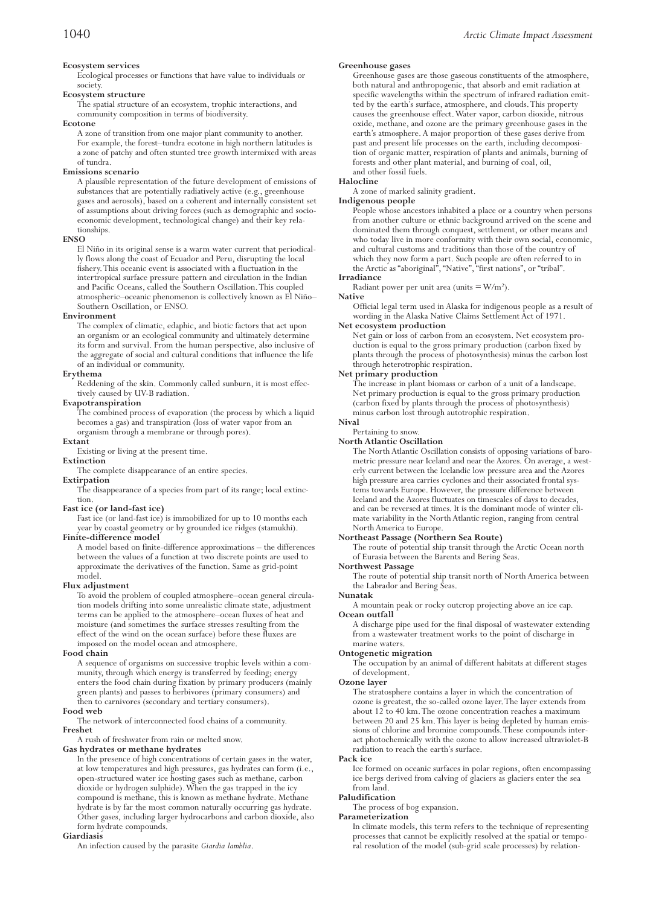#### **Ecosystem services**

Ecological processes or functions that have value to individuals or society.

#### **Ecosystem structure**

The spatial structure of an ecosystem, trophic interactions, and community composition in terms of biodiversity.

#### **Ecotone**

A zone of transition from one major plant community to another. For example, the forest–tundra ecotone in high northern latitudes is a zone of patchy and often stunted tree growth intermixed with areas of tundra.

#### **Emissions scenario**

A plausible representation of the future development of emissions of substances that are potentially radiatively active (e.g., greenhouse gases and aerosols), based on a coherent and internally consistent set of assumptions about driving forces (such as demographic and socioeconomic development, technological change) and their key relationships.

#### **ENSO**

El Niño in its original sense is a warm water current that periodically flows along the coast of Ecuador and Peru, disrupting the local fishery.This oceanic event is associated with a fluctuation in the intertropical surface pressure pattern and circulation in the Indian and Pacific Oceans, called the Southern Oscillation.This coupled atmospheric–oceanic phenomenon is collectively known as El Niño– Southern Oscillation, or ENSO.

#### **Environment**

The complex of climatic, edaphic, and biotic factors that act upon an organism or an ecological community and ultimately determine its form and survival. From the human perspective, also inclusive of the aggregate of social and cultural conditions that influence the life of an individual or community.

#### **Erythema**

Reddening of the skin. Commonly called sunburn, it is most effectively caused by UV-B radiation.

### **Evapotranspiration**

The combined process of evaporation (the process by which a liquid becomes a gas) and transpiration (loss of water vapor from an organism through a membrane or through pores).

#### **Extant**

Existing or living at the present time.

## **Extinction**

The complete disappearance of an entire species.

### **Extirpation**

The disappearance of a species from part of its range; local extinction

### **Fast ice (or land-fast ice)**

Fast ice (or land-fast ice) is immobilized for up to 10 months each year by coastal geometry or by grounded ice ridges (stamukhi).

## **Finite-difference model**

A model based on finite-difference approximations – the differences between the values of a function at two discrete points are used to approximate the derivatives of the function. Same as grid-point model.

#### **Flux adjustment**

To avoid the problem of coupled atmosphere–ocean general circulation models drifting into some unrealistic climate state, adjustment terms can be applied to the atmosphere–ocean fluxes of heat and moisture (and sometimes the surface stresses resulting from the effect of the wind on the ocean surface) before these fluxes are imposed on the model ocean and atmosphere.

#### **Food chain**

A sequence of organisms on successive trophic levels within a community, through which energy is transferred by feeding; energy enters the food chain during fixation by primary producers (mainly green plants) and passes to herbivores (primary consumers) and then to carnivores (secondary and tertiary consumers).

#### **Food web**

The network of interconnected food chains of a community. **Freshet**

#### A rush of freshwater from rain or melted snow.

**Gas hydrates or methane hydrates**

In the presence of high concentrations of certain gases in the water, at low temperatures and high pressures, gas hydrates can form (i.e., open-structured water ice hosting gases such as methane, carbon dioxide or hydrogen sulphide).When the gas trapped in the icy compound is methane, this is known as methane hydrate. Methane hydrate is by far the most common naturally occurring gas hydrate. Other gases, including larger hydrocarbons and carbon dioxide, also form hydrate compounds.

#### **Giardiasis**

An infection caused by the parasite *Giardia lamblia*.

#### **Greenhouse gases**

Greenhouse gases are those gaseous constituents of the atmosphere, both natural and anthropogenic, that absorb and emit radiation at specific wavelengths within the spectrum of infrared radiation emitted by the earth's surface, atmosphere, and clouds.This property causes the greenhouse effect.Water vapor, carbon dioxide, nitrous oxide, methane, and ozone are the primary greenhouse gases in the earth's atmosphere. A major proportion of these gases derive from past and present life processes on the earth, including decomposition of organic matter, respiration of plants and animals, burning of forests and other plant material, and burning of coal, oil, and other fossil fuels.

#### **Halocline**

A zone of marked salinity gradient.

## **Indigenous people**

People whose ancestors inhabited a place or a country when persons from another culture or ethnic background arrived on the scene and dominated them through conquest, settlement, or other means and who today live in more conformity with their own social, economic, and cultural customs and traditions than those of the country of which they now form a part. Such people are often referred to in the Arctic as "aboriginal", "Native", "first nations", or "tribal".

### **Irradiance**

Radiant power per unit area (units  $= W/m<sup>2</sup>$ ).

## **Native**

Official legal term used in Alaska for indigenous people as a result of wording in the Alaska Native Claims Settlement Act of 1971.

## **Net ecosystem production**

Net gain or loss of carbon from an ecosystem. Net ecosystem production is equal to the gross primary production (carbon fixed by plants through the process of photosynthesis) minus the carbon lost through heterotrophic respiration.

## **Net primary production**

The increase in plant biomass or carbon of a unit of a landscape. Net primary production is equal to the gross primary production (carbon fixed by plants through the process of photosynthesis) minus carbon lost through autotrophic respiration.

## **Nival**

#### Pertaining to snow. **North Atlantic Oscillation**

The North Atlantic Oscillation consists of opposing variations of barometric pressure near Iceland and near the Azores. On average, a westerly current between the Icelandic low pressure area and the Azores tems towards Europe. However, the pressure difference between Iceland and the Azores fluctuates on timescales of days to decades, and can be reversed at times. It is the dominant mode of winter climate variability in the North Atlantic region, ranging from central North America to Europe.

#### **Northeast Passage (Northern Sea Route)**

The route of potential ship transit through the Arctic Ocean north of Eurasia between the Barents and Bering Seas.

#### **Northwest Passage**

The route of potential ship transit north of North America between the Labrador and Bering Seas.

#### **Nunatak**

A mountain peak or rocky outcrop projecting above an ice cap. **Ocean outfall**

A discharge pipe used for the final disposal of wastewater extending from a wastewater treatment works to the point of discharge in marine waters.

### **Ontogenetic migration**

The occupation by an animal of different habitats at different stages of development.

#### **Ozone layer**

The stratosphere contains a layer in which the concentration of ozone is greatest, the so-called ozone layer.The layer extends from about 12 to 40 km.The ozone concentration reaches a maximum between 20 and 25 km.This layer is being depleted by human emissions of chlorine and bromine compounds.These compounds interact photochemically with the ozone to allow increased ultraviolet-B radiation to reach the earth's surface.

#### **Pack ice**

Ice formed on oceanic surfaces in polar regions, often encompassing ice bergs derived from calving of glaciers as glaciers enter the sea from land.

#### **Paludification**

The process of bog expansion.

## **Parameterization**

In climate models, this term refers to the technique of representing processes that cannot be explicitly resolved at the spatial or temporal resolution of the model (sub-grid scale processes) by relation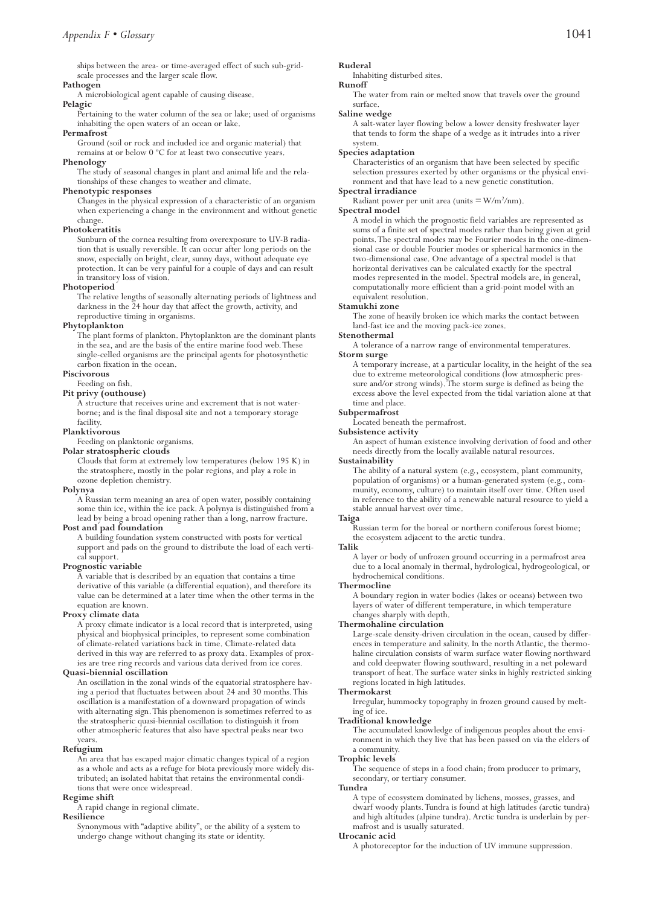ships between the area- or time-averaged effect of such sub-gridscale processes and the larger scale flow.

## **Pathogen**

A microbiological agent capable of causing disease. **Pelagic**

Pertaining to the water column of the sea or lake; used of organisms inhabiting the open waters of an ocean or lake.

### **Permafrost**

Ground (soil or rock and included ice and organic material) that remains at or below 0 ºC for at least two consecutive years.

### **Phenology**

The study of seasonal changes in plant and animal life and the relationships of these changes to weather and climate.

#### **Phenotypic responses**

Changes in the physical expression of a characteristic of an organism when experiencing a change in the environment and without genetic change.

#### **Photokeratitis**

Sunburn of the cornea resulting from overexposure to UV-B radiation that is usually reversible. It can occur after long periods on the snow, especially on bright, clear, sunny days, without adequate eye protection. It can be very painful for a couple of days and can result in transitory loss of vision.

#### **Photoperiod**

The relative lengths of seasonally alternating periods of lightness and darkness in the 24 hour day that affect the growth, activity, and reproductive timing in organisms.

#### **Phytoplankton**

The plant forms of plankton. Phytoplankton are the dominant plants in the sea, and are the basis of the entire marine food web.These single-celled organisms are the principal agents for photosynthetic carbon fixation in the ocean.

#### **Piscivorous**

Feeding on fish.

## **Pit privy (outhouse)**

A structure that receives urine and excrement that is not waterborne; and is the final disposal site and not a temporary storage facility.

#### **Planktivorous**

Feeding on planktonic organisms.

#### **Polar stratospheric clouds**

Clouds that form at extremely low temperatures (below 195 K) in the stratosphere, mostly in the polar regions, and play a role in ozone depletion chemistry.

## **Polynya**

A Russian term meaning an area of open water, possibly containing some thin ice, within the ice pack. A polynya is distinguished from a lead by being a broad opening rather than a long, narrow fracture.

## **Post and pad foundation**

A building foundation system constructed with posts for vertical support and pads on the ground to distribute the load of each vertical support.

#### **Prognostic variable**

A variable that is described by an equation that contains a time derivative of this variable (a differential equation), and therefore its value can be determined at a later time when the other terms in the equation are known.

#### **Proxy climate data**

A proxy climate indicator is a local record that is interpreted, using physical and biophysical principles, to represent some combination of climate-related variations back in time. Climate-related data derived in this way are referred to as proxy data. Examples of proxies are tree ring records and various data derived from ice cores.

#### **Quasi-biennial oscillation**

An oscillation in the zonal winds of the equatorial stratosphere having a period that fluctuates between about 24 and 30 months.This oscillation is a manifestation of a downward propagation of winds with alternating sign.This phenomenon is sometimes referred to as the stratospheric quasi-biennial oscillation to distinguish it from other atmospheric features that also have spectral peaks near two years.

## **Refugium**

An area that has escaped major climatic changes typical of a region as a whole and acts as a refuge for biota previously more widely distributed; an isolated habitat that retains the environmental conditions that were once widespread.

## **Regime shift**

A rapid change in regional climate.

#### **Resilience**

Synonymous with "adaptive ability", or the ability of a system to undergo change without changing its state or identity.

#### **Ruderal**

#### Inhabiting disturbed sites.

**Runoff**

The water from rain or melted snow that travels over the ground surface.

## **Saline wedge**

A salt-water layer flowing below a lower density freshwater layer that tends to form the shape of a wedge as it intrudes into a river system.

#### **Species adaptation**

Characteristics of an organism that have been selected by specific selection pressures exerted by other organisms or the physical environment and that have lead to a new genetic constitution.

## **Spectral irradiance**

Radiant power per unit area (units  $=$  W/m<sup>2</sup>/nm).

## **Spectral model**

A model in which the prognostic field variables are represented as sums of a finite set of spectral modes rather than being given at grid points.The spectral modes may be Fourier modes in the one-dimensional case or double Fourier modes or spherical harmonics in the two-dimensional case. One advantage of a spectral model is that horizontal derivatives can be calculated exactly for the spectral modes represented in the model. Spectral models are, in general, computationally more efficient than a grid-point model with an equivalent resolution.

## **Stamukhi zone**

The zone of heavily broken ice which marks the contact between land-fast ice and the moving pack-ice zones.

#### **Stenothermal**

A tolerance of a narrow range of environmental temperatures. **Storm surge**

A temporary increase, at a particular locality, in the height of the sea due to extreme meteorological conditions (low atmospheric pressure and/or strong winds).The storm surge is defined as being the excess above the level expected from the tidal variation alone at that time and place.

## **Subpermafrost**

Located beneath the permafrost.

#### **Subsistence activity**

An aspect of human existence involving derivation of food and other needs directly from the locally available natural resources.

**Sustainability**

The ability of a natural system (e.g., ecosystem, plant community, population of organisms) or a human-generated system (e.g., community, economy, culture) to maintain itself over time. Often used in reference to the ability of a renewable natural resource to yield a stable annual harvest over time.

## **Taiga**

Russian term for the boreal or northern coniferous forest biome; the ecosystem adjacent to the arctic tundra.

#### **Talik**

A layer or body of unfrozen ground occurring in a permafrost area due to a local anomaly in thermal, hydrological, hydrogeological, or hydrochemical conditions.

#### **Thermocline**

A boundary region in water bodies (lakes or oceans) between two layers of water of different temperature, in which temperature changes sharply with depth.

#### **Thermohaline circulation**

Large-scale density-driven circulation in the ocean, caused by differences in temperature and salinity. In the north Atlantic, the thermohaline circulation consists of warm surface water flowing northward and cold deepwater flowing southward, resulting in a net poleward transport of heat.The surface water sinks in highly restricted sinking regions located in high latitudes.

#### **Thermokarst**

Irregular, hummocky topography in frozen ground caused by melting of ice.

## **Traditional knowledge**

The accumulated knowledge of indigenous peoples about the environment in which they live that has been passed on via the elders of a community.

#### **Trophic levels**

The sequence of steps in a food chain; from producer to primary, secondary, or tertiary consumer.

#### **Tundra**

A type of ecosystem dominated by lichens, mosses, grasses, and dwarf woody plants.Tundra is found at high latitudes (arctic tundra) and high altitudes (alpine tundra). Arctic tundra is underlain by permafrost and is usually saturated.

#### **Urocanic acid**

A photoreceptor for the induction of UV immune suppression.